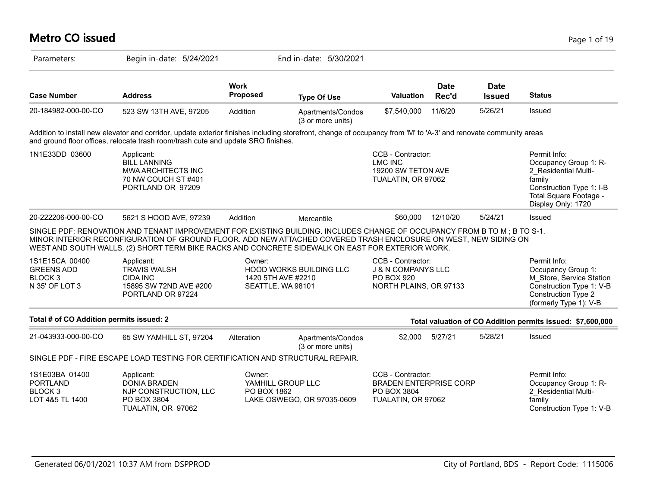| <b>Metro CO issued</b>                                                      |                                                                                                                                                                                                                                                                                                                                                 |                                                   |                                        |                                                                                            |                      |                              | Page 1 of 19                                                                                                                                        |
|-----------------------------------------------------------------------------|-------------------------------------------------------------------------------------------------------------------------------------------------------------------------------------------------------------------------------------------------------------------------------------------------------------------------------------------------|---------------------------------------------------|----------------------------------------|--------------------------------------------------------------------------------------------|----------------------|------------------------------|-----------------------------------------------------------------------------------------------------------------------------------------------------|
| Parameters:                                                                 | Begin in-date: 5/24/2021                                                                                                                                                                                                                                                                                                                        |                                                   | End in-date: 5/30/2021                 |                                                                                            |                      |                              |                                                                                                                                                     |
| <b>Case Number</b>                                                          | <b>Address</b>                                                                                                                                                                                                                                                                                                                                  | <b>Work</b><br><b>Proposed</b>                    | <b>Type Of Use</b>                     | <b>Valuation</b>                                                                           | <b>Date</b><br>Rec'd | <b>Date</b><br><b>Issued</b> | <b>Status</b>                                                                                                                                       |
| 20-184982-000-00-CO                                                         | 523 SW 13TH AVE, 97205                                                                                                                                                                                                                                                                                                                          | Addition                                          | Apartments/Condos<br>(3 or more units) | \$7,540,000                                                                                | 11/6/20              | 5/26/21                      | Issued                                                                                                                                              |
|                                                                             | Addition to install new elevator and corridor, update exterior finishes including storefront, change of occupancy from 'M' to 'A-3' and renovate community areas<br>and ground floor offices, relocate trash room/trash cute and update SRO finishes.                                                                                           |                                                   |                                        |                                                                                            |                      |                              |                                                                                                                                                     |
| 1N1E33DD 03600                                                              | Applicant:<br><b>BILL LANNING</b><br>MWA ARCHITECTS INC<br>70 NW COUCH ST #401<br>PORTLAND OR 97209                                                                                                                                                                                                                                             |                                                   |                                        | CCB - Contractor:<br><b>LMC INC</b><br>19200 SW TETON AVE<br>TUALATIN, OR 97062            |                      |                              | Permit Info:<br>Occupancy Group 1: R-<br>2 Residential Multi-<br>family<br>Construction Type 1: I-B<br>Total Square Footage -<br>Display Only: 1720 |
| 20-222206-000-00-CO                                                         | 5621 S HOOD AVE, 97239                                                                                                                                                                                                                                                                                                                          | Addition                                          | Mercantile                             | \$60,000                                                                                   | 12/10/20             | 5/24/21                      | Issued                                                                                                                                              |
|                                                                             | SINGLE PDF: RENOVATION AND TENANT IMPROVEMENT FOR EXISTING BUILDING. INCLUDES CHANGE OF OCCUPANCY FROM B TO M; B TO S-1.<br>MINOR INTERIOR RECONFIGURATION OF GROUND FLOOR. ADD NEW ATTACHED COVERED TRASH ENCLOSURE ON WEST, NEW SIDING ON<br>WEST AND SOUTH WALLS, (2) SHORT TERM BIKE RACKS AND CONCRETE SIDEWALK ON EAST FOR EXTERIOR WORK. |                                                   |                                        |                                                                                            |                      |                              |                                                                                                                                                     |
| 1S1E15CA 00400<br><b>GREENS ADD</b><br>BLOCK <sub>3</sub><br>N 35' OF LOT 3 | Applicant:<br><b>TRAVIS WALSH</b><br><b>CIDA INC</b><br>15895 SW 72ND AVE #200<br>PORTLAND OR 97224                                                                                                                                                                                                                                             | Owner:<br>1420 5TH AVE #2210<br>SEATTLE, WA 98101 | <b>HOOD WORKS BUILDING LLC</b>         | CCB - Contractor:<br><b>J &amp; N COMPANYS LLC</b><br>PO BOX 920<br>NORTH PLAINS, OR 97133 |                      |                              | Permit Info:<br>Occupancy Group 1:<br>M Store, Service Station<br>Construction Type 1: V-B<br><b>Construction Type 2</b><br>(formerly Type 1): V-B  |
| Total # of CO Addition permits issued: 2                                    |                                                                                                                                                                                                                                                                                                                                                 |                                                   |                                        |                                                                                            |                      |                              | Total valuation of CO Addition permits issued: \$7,600,000                                                                                          |
| 21-043933-000-00-CO                                                         | 65 SW YAMHILL ST, 97204                                                                                                                                                                                                                                                                                                                         | Alteration                                        | Apartments/Condos<br>(3 or more units) | \$2,000                                                                                    | 5/27/21              | 5/28/21                      | Issued                                                                                                                                              |
|                                                                             | SINGLE PDF - FIRE ESCAPE LOAD TESTING FOR CERTIFICATION AND STRUCTURAL REPAIR.                                                                                                                                                                                                                                                                  |                                                   |                                        |                                                                                            |                      |                              |                                                                                                                                                     |
| 1S1E03BA 01400<br><b>PORTLAND</b><br>BLOCK <sub>3</sub><br>LOT 4&5 TL 1400  | Applicant:<br><b>DONIA BRADEN</b><br>NJP CONSTRUCTION, LLC<br>PO BOX 3804<br>TUALATIN, OR 97062                                                                                                                                                                                                                                                 | Owner:<br>YAMHILL GROUP LLC<br>PO BOX 1862        | LAKE OSWEGO, OR 97035-0609             | CCB - Contractor:<br><b>BRADEN ENTERPRISE CORP</b><br>PO BOX 3804<br>TUALATIN, OR 97062    |                      |                              | Permit Info:<br>Occupancy Group 1: R-<br>2 Residential Multi-<br>family<br>Construction Type 1: V-B                                                 |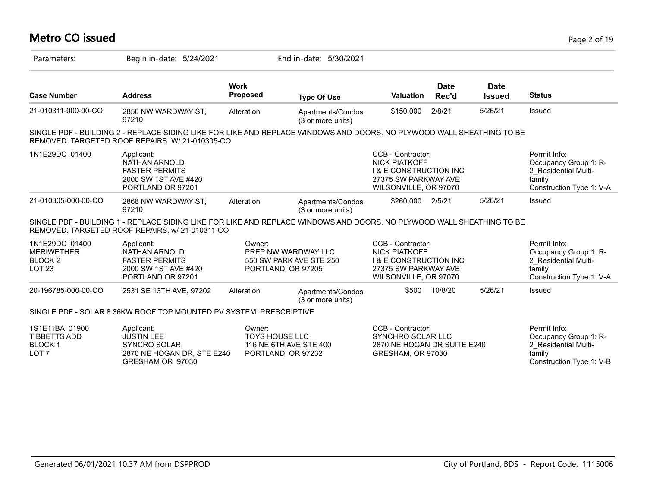# **Metro CO issued** Page 2 of 19

| Parameters:                                                                | Begin in-date: 5/24/2021                                                                                                                                                 |                                                       | End in-date: 5/30/2021                         |                                                                                                                                 |                      |                              |                                                                                                     |
|----------------------------------------------------------------------------|--------------------------------------------------------------------------------------------------------------------------------------------------------------------------|-------------------------------------------------------|------------------------------------------------|---------------------------------------------------------------------------------------------------------------------------------|----------------------|------------------------------|-----------------------------------------------------------------------------------------------------|
| <b>Case Number</b>                                                         | <b>Address</b>                                                                                                                                                           | <b>Work</b><br>Proposed                               | <b>Type Of Use</b>                             | <b>Valuation</b>                                                                                                                | <b>Date</b><br>Rec'd | <b>Date</b><br><b>Issued</b> | <b>Status</b>                                                                                       |
| 21-010311-000-00-CO                                                        | 2856 NW WARDWAY ST,<br>97210                                                                                                                                             | Alteration                                            | Apartments/Condos<br>(3 or more units)         | \$150,000                                                                                                                       | 2/8/21               | 5/26/21                      | Issued                                                                                              |
|                                                                            | SINGLE PDF - BUILDING 2 - REPLACE SIDING LIKE FOR LIKE AND REPLACE WINDOWS AND DOORS. NO PLYWOOD WALL SHEATHING TO BE<br>REMOVED. TARGETED ROOF REPAIRS. W/ 21-010305-CO |                                                       |                                                |                                                                                                                                 |                      |                              |                                                                                                     |
| 1N1E29DC 01400                                                             | Applicant:<br><b>NATHAN ARNOLD</b><br><b>FASTER PERMITS</b><br>2000 SW 1ST AVE #420<br>PORTLAND OR 97201                                                                 |                                                       |                                                | CCB - Contractor:<br><b>NICK PIATKOFF</b><br><b>I &amp; E CONSTRUCTION INC</b><br>27375 SW PARKWAY AVE<br>WILSONVILLE, OR 97070 |                      |                              | Permit Info:<br>Occupancy Group 1: R-<br>2 Residential Multi-<br>family<br>Construction Type 1: V-A |
| 21-010305-000-00-CO                                                        | 2868 NW WARDWAY ST,<br>97210                                                                                                                                             | Alteration                                            | Apartments/Condos<br>(3 or more units)         | \$260,000                                                                                                                       | 2/5/21               | 5/26/21                      | Issued                                                                                              |
|                                                                            | SINGLE PDF - BUILDING 1 - REPLACE SIDING LIKE FOR LIKE AND REPLACE WINDOWS AND DOORS. NO PLYWOOD WALL SHEATHING TO BE<br>REMOVED. TARGETED ROOF REPAIRS, w/ 21-010311-CO |                                                       |                                                |                                                                                                                                 |                      |                              |                                                                                                     |
| 1N1E29DC 01400<br><b>MERIWETHER</b><br>BLOCK <sub>2</sub><br><b>LOT 23</b> | Applicant:<br><b>NATHAN ARNOLD</b><br><b>FASTER PERMITS</b><br>2000 SW 1ST AVE #420<br>PORTLAND OR 97201                                                                 | Owner:<br>PORTLAND, OR 97205                          | PREP NW WARDWAY LLC<br>550 SW PARK AVE STE 250 | CCB - Contractor:<br><b>NICK PIATKOFF</b><br><b>1 &amp; E CONSTRUCTION INC</b><br>27375 SW PARKWAY AVE<br>WILSONVILLE, OR 97070 |                      |                              | Permit Info:<br>Occupancy Group 1: R-<br>2 Residential Multi-<br>family<br>Construction Type 1: V-A |
| 20-196785-000-00-CO                                                        | 2531 SE 13TH AVE, 97202                                                                                                                                                  | Alteration                                            | Apartments/Condos<br>(3 or more units)         | \$500                                                                                                                           | 10/8/20              | 5/26/21                      | Issued                                                                                              |
|                                                                            | SINGLE PDF - SOLAR 8.36KW ROOF TOP MOUNTED PV SYSTEM: PRESCRIPTIVE                                                                                                       |                                                       |                                                |                                                                                                                                 |                      |                              |                                                                                                     |
| 1S1E11BA 01900<br><b>TIBBETTS ADD</b><br><b>BLOCK1</b><br>LOT <sub>7</sub> | Applicant:<br><b>JUSTIN LEE</b><br><b>SYNCRO SOLAR</b><br>2870 NE HOGAN DR, STE E240<br>GRESHAM OR 97030                                                                 | Owner:<br><b>TOYS HOUSE LLC</b><br>PORTLAND, OR 97232 | 116 NE 6TH AVE STE 400                         | CCB - Contractor:<br>SYNCHRO SOLAR LLC<br>2870 NE HOGAN DR SUITE E240<br>GRESHAM, OR 97030                                      |                      |                              | Permit Info:<br>Occupancy Group 1: R-<br>2 Residential Multi-<br>family<br>Construction Type 1: V-B |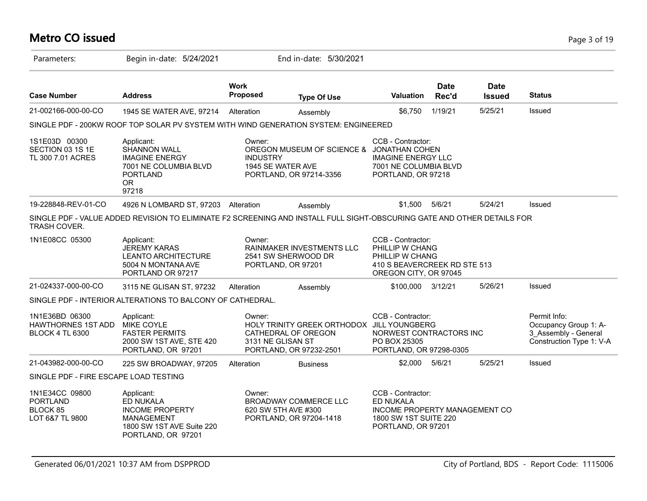# **Metro CO issued** Page 3 of 19

| Parameters:                                                           | Begin in-date: 5/24/2021                                                                                                     |                                                | End in-date: 5/30/2021                                                                       |                                                                                                                  |                      |                              |                                                                                           |
|-----------------------------------------------------------------------|------------------------------------------------------------------------------------------------------------------------------|------------------------------------------------|----------------------------------------------------------------------------------------------|------------------------------------------------------------------------------------------------------------------|----------------------|------------------------------|-------------------------------------------------------------------------------------------|
| <b>Case Number</b>                                                    | <b>Address</b>                                                                                                               | <b>Work</b><br>Proposed                        | <b>Type Of Use</b>                                                                           | <b>Valuation</b>                                                                                                 | <b>Date</b><br>Rec'd | <b>Date</b><br><b>Issued</b> | <b>Status</b>                                                                             |
| 21-002166-000-00-CO                                                   | 1945 SE WATER AVE, 97214                                                                                                     | Alteration                                     | Assembly                                                                                     | \$6.750                                                                                                          | 1/19/21              | 5/25/21                      | Issued                                                                                    |
|                                                                       | SINGLE PDF - 200KW ROOF TOP SOLAR PV SYSTEM WITH WIND GENERATION SYSTEM: ENGINEERED                                          |                                                |                                                                                              |                                                                                                                  |                      |                              |                                                                                           |
| 1S1E03D 00300<br>SECTION 03 1S 1E<br>TL 300 7.01 ACRES                | Applicant:<br><b>SHANNON WALL</b><br><b>IMAGINE ENERGY</b><br>7001 NE COLUMBIA BLVD<br><b>PORTLAND</b><br><b>OR</b><br>97218 | Owner:<br><b>INDUSTRY</b><br>1945 SE WATER AVE | OREGON MUSEUM OF SCIENCE & JONATHAN COHEN<br>PORTLAND, OR 97214-3356                         | CCB - Contractor:<br><b>IMAGINE ENERGY LLC</b><br>7001 NE COLUMBIA BLVD<br>PORTLAND, OR 97218                    |                      |                              |                                                                                           |
| 19-228848-REV-01-CO                                                   | 4926 N LOMBARD ST, 97203 Alteration                                                                                          |                                                | Assembly                                                                                     | \$1,500                                                                                                          | 5/6/21               | 5/24/21                      | Issued                                                                                    |
| <b>TRASH COVER.</b>                                                   | SINGLE PDF - VALUE ADDED REVISION TO ELIMINATE F2 SCREENING AND INSTALL FULL SIGHT-OBSCURING GATE AND OTHER DETAILS FOR      |                                                |                                                                                              |                                                                                                                  |                      |                              |                                                                                           |
| 1N1E08CC 05300                                                        | Applicant:<br><b>JEREMY KARAS</b><br><b>LEANTO ARCHITECTURE</b><br>5004 N MONTANA AVE<br>PORTLAND OR 97217                   | Owner:<br>PORTLAND, OR 97201                   | RAINMAKER INVESTMENTS LLC<br>2541 SW SHERWOOD DR                                             | CCB - Contractor:<br>PHILLIP W CHANG<br>PHILLIP W CHANG<br>410 S BEAVERCREEK RD STE 513<br>OREGON CITY, OR 97045 |                      |                              |                                                                                           |
| 21-024337-000-00-CO                                                   | 3115 NE GLISAN ST, 97232                                                                                                     | Alteration                                     | Assembly                                                                                     | \$100,000 3/12/21                                                                                                |                      | 5/26/21                      | Issued                                                                                    |
|                                                                       | SINGLE PDF - INTERIOR ALTERATIONS TO BALCONY OF CATHEDRAL.                                                                   |                                                |                                                                                              |                                                                                                                  |                      |                              |                                                                                           |
| 1N1E36BD 06300<br><b>HAWTHORNES 1ST ADD</b><br><b>BLOCK 4 TL 6300</b> | Applicant:<br><b>MIKE COYLE</b><br><b>FASTER PERMITS</b><br>2000 SW 1ST AVE, STE 420<br>PORTLAND, OR 97201                   | Owner:<br>3131 NE GLISAN ST                    | HOLY TRINITY GREEK ORTHODOX JILL YOUNGBERG<br>CATHEDRAL OF OREGON<br>PORTLAND, OR 97232-2501 | CCB - Contractor:<br>NORWEST CONTRACTORS INC<br>PO BOX 25305<br>PORTLAND, OR 97298-0305                          |                      |                              | Permit Info:<br>Occupancy Group 1: A-<br>3 Assembly - General<br>Construction Type 1: V-A |
| 21-043982-000-00-CO                                                   | 225 SW BROADWAY, 97205                                                                                                       | Alteration                                     | <b>Business</b>                                                                              | \$2,000                                                                                                          | 5/6/21               | 5/25/21                      | Issued                                                                                    |
| SINGLE PDF - FIRE ESCAPE LOAD TESTING                                 |                                                                                                                              |                                                |                                                                                              |                                                                                                                  |                      |                              |                                                                                           |
| 1N1E34CC 09800<br><b>PORTLAND</b><br>BLOCK 85<br>LOT 6&7 TL 9800      | Applicant:<br>ED NUKALA<br><b>INCOME PROPERTY</b><br><b>MANAGEMENT</b><br>1800 SW 1ST AVE Suite 220<br>PORTLAND, OR 97201    | Owner:<br>620 SW 5TH AVE #300                  | BROADWAY COMMERCE LLC<br>PORTLAND, OR 97204-1418                                             | CCB - Contractor:<br>ED NUKALA<br>INCOME PROPERTY MANAGEMENT CO<br>1800 SW 1ST SUITE 220<br>PORTLAND, OR 97201   |                      |                              |                                                                                           |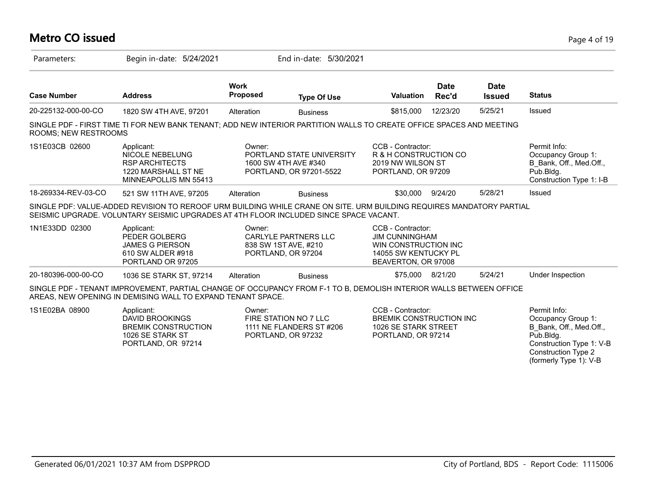## **Metro CO issued** Page 4 of 19

| Parameters:                 | Begin in-date: 5/24/2021                                                                                                                                                                                      |                                | End in-date: 5/30/2021                                                       |                                                                                                                   |                      |                              |                                                                                                                                                                |
|-----------------------------|---------------------------------------------------------------------------------------------------------------------------------------------------------------------------------------------------------------|--------------------------------|------------------------------------------------------------------------------|-------------------------------------------------------------------------------------------------------------------|----------------------|------------------------------|----------------------------------------------------------------------------------------------------------------------------------------------------------------|
| <b>Case Number</b>          | <b>Address</b>                                                                                                                                                                                                | <b>Work</b><br><b>Proposed</b> | <b>Type Of Use</b>                                                           | <b>Valuation</b>                                                                                                  | <b>Date</b><br>Rec'd | <b>Date</b><br><b>Issued</b> | <b>Status</b>                                                                                                                                                  |
| 20-225132-000-00-CO         | 1820 SW 4TH AVE, 97201                                                                                                                                                                                        | Alteration                     | <b>Business</b>                                                              | \$815,000                                                                                                         | 12/23/20             | 5/25/21                      | Issued                                                                                                                                                         |
| <b>ROOMS: NEW RESTROOMS</b> | SINGLE PDF - FIRST TIME TI FOR NEW BANK TENANT; ADD NEW INTERIOR PARTITION WALLS TO CREATE OFFICE SPACES AND MEETING                                                                                          |                                |                                                                              |                                                                                                                   |                      |                              |                                                                                                                                                                |
| 1S1E03CB 02600              | Applicant:<br><b>NICOLE NEBELUNG</b><br><b>RSP ARCHITECTS</b><br>1220 MARSHALL ST NE<br>MINNEAPOLLIS MN 55413                                                                                                 | Owner:                         | PORTLAND STATE UNIVERSITY<br>1600 SW 4TH AVE #340<br>PORTLAND, OR 97201-5522 | CCB - Contractor:<br>R & H CONSTRUCTION CO<br>2019 NW WILSON ST<br>PORTLAND, OR 97209                             |                      |                              | Permit Info:<br>Occupancy Group 1:<br>B Bank, Off., Med.Off.,<br>Pub.Bldg.<br>Construction Type 1: I-B                                                         |
| 18-269334-REV-03-CO         | 521 SW 11TH AVE, 97205                                                                                                                                                                                        | Alteration                     | <b>Business</b>                                                              | \$30,000                                                                                                          | 9/24/20              | 5/28/21                      | Issued                                                                                                                                                         |
|                             | SINGLE PDF: VALUE-ADDED REVISION TO REROOF URM BUILDING WHILE CRANE ON SITE. URM BUILDING REQUIRES MANDATORY PARTIAL<br>SEISMIC UPGRADE. VOLUNTARY SEISMIC UPGRADES AT 4TH FLOOR INCLUDED SINCE SPACE VACANT. |                                |                                                                              |                                                                                                                   |                      |                              |                                                                                                                                                                |
| 1N1E33DD 02300              | Applicant:<br>PEDER GOLBERG<br><b>JAMES G PIERSON</b><br>610 SW ALDER #918<br>PORTLAND OR 97205                                                                                                               | Owner:                         | <b>CARLYLE PARTNERS LLC</b><br>838 SW 1ST AVE, #210<br>PORTLAND, OR 97204    | CCB - Contractor:<br><b>JIM CUNNINGHAM</b><br>WIN CONSTRUCTION INC<br>14055 SW KENTUCKY PL<br>BEAVERTON, OR 97008 |                      |                              |                                                                                                                                                                |
| 20-180396-000-00-CO         | 1036 SE STARK ST, 97214                                                                                                                                                                                       | Alteration                     | <b>Business</b>                                                              | \$75,000                                                                                                          | 8/21/20              | 5/24/21                      | Under Inspection                                                                                                                                               |
|                             | SINGLE PDF - TENANT IMPROVEMENT, PARTIAL CHANGE OF OCCUPANCY FROM F-1 TO B, DEMOLISH INTERIOR WALLS BETWEEN OFFICE<br>AREAS, NEW OPENING IN DEMISING WALL TO EXPAND TENANT SPACE.                             |                                |                                                                              |                                                                                                                   |                      |                              |                                                                                                                                                                |
| 1S1E02BA 08900              | Applicant:<br><b>DAVID BROOKINGS</b><br><b>BREMIK CONSTRUCTION</b><br>1026 SE STARK ST<br>PORTLAND, OR 97214                                                                                                  | Owner:                         | FIRE STATION NO 7 LLC<br>1111 NE FLANDERS ST #206<br>PORTLAND, OR 97232      | CCB - Contractor:<br><b>BREMIK CONSTRUCTION INC.</b><br>1026 SE STARK STREET<br>PORTLAND, OR 97214                |                      |                              | Permit Info:<br>Occupancy Group 1:<br>B Bank, Off., Med.Off.,<br>Pub.Bldg.<br>Construction Type 1: V-B<br><b>Construction Type 2</b><br>(formerly Type 1): V-B |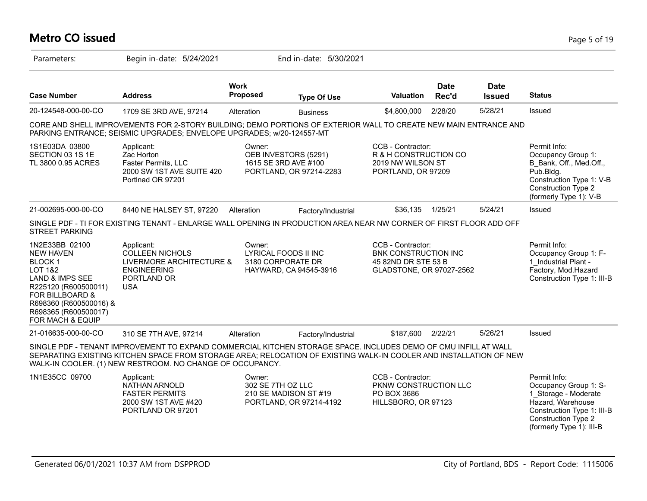## **Metro CO issued** Page 5 of 19

| Parameters:                                                                                                                                                                                                              | Begin in-date: 5/24/2021                                                                                                                                                                                                                                                                           |                                | End in-date: 5/30/2021                                                  |                                                                                                     |                      |                              |                                                                                                                                                                            |
|--------------------------------------------------------------------------------------------------------------------------------------------------------------------------------------------------------------------------|----------------------------------------------------------------------------------------------------------------------------------------------------------------------------------------------------------------------------------------------------------------------------------------------------|--------------------------------|-------------------------------------------------------------------------|-----------------------------------------------------------------------------------------------------|----------------------|------------------------------|----------------------------------------------------------------------------------------------------------------------------------------------------------------------------|
| <b>Case Number</b>                                                                                                                                                                                                       | <b>Address</b>                                                                                                                                                                                                                                                                                     | <b>Work</b><br><b>Proposed</b> | <b>Type Of Use</b>                                                      | Valuation                                                                                           | <b>Date</b><br>Rec'd | <b>Date</b><br><b>Issued</b> | <b>Status</b>                                                                                                                                                              |
| 20-124548-000-00-CO                                                                                                                                                                                                      | 1709 SE 3RD AVE, 97214                                                                                                                                                                                                                                                                             | Alteration                     | <b>Business</b>                                                         | \$4,800,000                                                                                         | 2/28/20              | 5/28/21                      | Issued                                                                                                                                                                     |
|                                                                                                                                                                                                                          | CORE AND SHELL IMPROVEMENTS FOR 2-STORY BUILDING; DEMO PORTIONS OF EXTERIOR WALL TO CREATE NEW MAIN ENTRANCE AND<br>PARKING ENTRANCE; SEISMIC UPGRADES; ENVELOPE UPGRADES; w/20-124557-MT                                                                                                          |                                |                                                                         |                                                                                                     |                      |                              |                                                                                                                                                                            |
| 1S1E03DA 03800<br>SECTION 03 1S 1E<br>TL 3800 0.95 ACRES                                                                                                                                                                 | Applicant:<br>Zac Horton<br>Faster Permits, LLC<br>2000 SW 1ST AVE SUITE 420<br>Portlnad OR 97201                                                                                                                                                                                                  | Owner:                         | OEB INVESTORS (5291)<br>1615 SE 3RD AVE #100<br>PORTLAND, OR 97214-2283 | CCB - Contractor:<br>R & H CONSTRUCTION CO<br>2019 NW WILSON ST<br>PORTLAND, OR 97209               |                      |                              | Permit Info:<br>Occupancy Group 1:<br>B Bank, Off., Med.Off.,<br>Pub.Bldg.<br>Construction Type 1: V-B<br><b>Construction Type 2</b><br>(formerly Type 1): V-B             |
| 21-002695-000-00-CO                                                                                                                                                                                                      | 8440 NE HALSEY ST, 97220                                                                                                                                                                                                                                                                           | Alteration                     | Factory/Industrial                                                      | \$36,135                                                                                            | 1/25/21              | 5/24/21                      | Issued                                                                                                                                                                     |
| <b>STREET PARKING</b>                                                                                                                                                                                                    | SINGLE PDF - TI FOR EXISTING TENANT - ENLARGE WALL OPENING IN PRODUCTION AREA NEAR NW CORNER OF FIRST FLOOR ADD OFF                                                                                                                                                                                |                                |                                                                         |                                                                                                     |                      |                              |                                                                                                                                                                            |
| 1N2E33BB 02100<br><b>NEW HAVEN</b><br><b>BLOCK1</b><br><b>LOT 1&amp;2</b><br><b>LAND &amp; IMPS SEE</b><br>R225120 (R600500011)<br>FOR BILLBOARD &<br>R698360 (R600500016) &<br>R698365 (R600500017)<br>FOR MACH & EQUIP | Applicant:<br><b>COLLEEN NICHOLS</b><br>LIVERMORE ARCHITECTURE &<br><b>ENGINEERING</b><br>PORTLAND OR<br><b>USA</b>                                                                                                                                                                                | Owner:                         | LYRICAL FOODS II INC<br>3180 CORPORATE DR<br>HAYWARD, CA 94545-3916     | CCB - Contractor:<br><b>BNK CONSTRUCTION INC</b><br>45 82ND DR STE 53 B<br>GLADSTONE, OR 97027-2562 |                      |                              | Permit Info:<br>Occupancy Group 1: F-<br>1 Industrial Plant -<br>Factory, Mod.Hazard<br>Construction Type 1: III-B                                                         |
| 21-016635-000-00-CO                                                                                                                                                                                                      | 310 SE 7TH AVE, 97214                                                                                                                                                                                                                                                                              | Alteration                     | Factory/Industrial                                                      | \$187,600                                                                                           | 2/22/21              | 5/26/21                      | Issued                                                                                                                                                                     |
|                                                                                                                                                                                                                          | SINGLE PDF - TENANT IMPROVEMENT TO EXPAND COMMERCIAL KITCHEN STORAGE SPACE. INCLUDES DEMO OF CMU INFILL AT WALL<br>SEPARATING EXISTING KITCHEN SPACE FROM STORAGE AREA; RELOCATION OF EXISTING WALK-IN COOLER AND INSTALLATION OF NEW<br>WALK-IN COOLER. (1) NEW RESTROOM. NO CHANGE OF OCCUPANCY. |                                |                                                                         |                                                                                                     |                      |                              |                                                                                                                                                                            |
| 1N1E35CC 09700                                                                                                                                                                                                           | Applicant:<br><b>NATHAN ARNOLD</b><br><b>FASTER PERMITS</b><br>2000 SW 1ST AVE #420<br>PORTLAND OR 97201                                                                                                                                                                                           | Owner:<br>302 SE 7TH OZ LLC    | 210 SE MADISON ST #19<br>PORTLAND, OR 97214-4192                        | CCB - Contractor:<br>PKNW CONSTRUCTION LLC<br>PO BOX 3686<br>HILLSBORO, OR 97123                    |                      |                              | Permit Info:<br>Occupancy Group 1: S-<br>1 Storage - Moderate<br>Hazard, Warehouse<br>Construction Type 1: III-B<br><b>Construction Type 2</b><br>(formerly Type 1): III-B |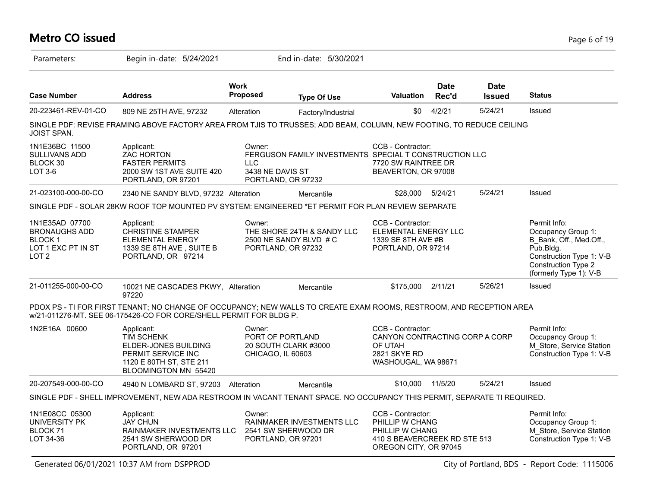## **Metro CO issued** Page 6 of 19

| Parameters:                                                                                       | Begin in-date: 5/24/2021                                                                                                                                                                  |                                                                | End in-date: 5/30/2021                                 |                                                                                                                  |                      |                              |                                                                                                                                                         |
|---------------------------------------------------------------------------------------------------|-------------------------------------------------------------------------------------------------------------------------------------------------------------------------------------------|----------------------------------------------------------------|--------------------------------------------------------|------------------------------------------------------------------------------------------------------------------|----------------------|------------------------------|---------------------------------------------------------------------------------------------------------------------------------------------------------|
| <b>Case Number</b>                                                                                | <b>Address</b>                                                                                                                                                                            | <b>Work</b><br>Proposed                                        | <b>Type Of Use</b>                                     | <b>Valuation</b>                                                                                                 | <b>Date</b><br>Rec'd | <b>Date</b><br><b>Issued</b> | <b>Status</b>                                                                                                                                           |
| 20-223461-REV-01-CO                                                                               | 809 NE 25TH AVE, 97232                                                                                                                                                                    | Alteration                                                     | Factory/Industrial                                     | \$0                                                                                                              | 4/2/21               | 5/24/21                      | Issued                                                                                                                                                  |
| <b>JOIST SPAN.</b>                                                                                | SINGLE PDF: REVISE FRAMING ABOVE FACTORY AREA FROM TJIS TO TRUSSES; ADD BEAM, COLUMN, NEW FOOTING, TO REDUCE CEILING                                                                      |                                                                |                                                        |                                                                                                                  |                      |                              |                                                                                                                                                         |
| 1N1E36BC 11500<br><b>SULLIVANS ADD</b><br>BLOCK 30<br>LOT 3-6                                     | Applicant:<br><b>ZAC HORTON</b><br><b>FASTER PERMITS</b><br>2000 SW 1ST AVE SUITE 420<br>PORTLAND, OR 97201                                                                               | Owner:<br><b>LLC</b><br>3438 NE DAVIS ST<br>PORTLAND, OR 97232 | FERGUSON FAMILY INVESTMENTS SPECIAL T CONSTRUCTION LLC | CCB - Contractor:<br>7720 SW RAINTREE DR<br>BEAVERTON, OR 97008                                                  |                      |                              |                                                                                                                                                         |
| 21-023100-000-00-CO                                                                               | 2340 NE SANDY BLVD, 97232 Alteration                                                                                                                                                      |                                                                | Mercantile                                             | \$28,000                                                                                                         | 5/24/21              | 5/24/21                      | Issued                                                                                                                                                  |
|                                                                                                   | SINGLE PDF - SOLAR 28KW ROOF TOP MOUNTED PV SYSTEM: ENGINEERED *ET PERMIT FOR PLAN REVIEW SEPARATE                                                                                        |                                                                |                                                        |                                                                                                                  |                      |                              |                                                                                                                                                         |
| 1N1E35AD 07700<br><b>BRONAUGHS ADD</b><br><b>BLOCK1</b><br>LOT 1 EXC PT IN ST<br>LOT <sub>2</sub> | Applicant:<br><b>CHRISTINE STAMPER</b><br><b>ELEMENTAL ENERGY</b><br>1339 SE 8TH AVE, SUITE B<br>PORTLAND, OR 97214                                                                       | Owner:<br>PORTLAND, OR 97232                                   | THE SHORE 24TH & SANDY LLC<br>2500 NE SANDY BLVD # C   | CCB - Contractor:<br>ELEMENTAL ENERGY LLC<br>1339 SE 8TH AVE #B<br>PORTLAND, OR 97214                            |                      |                              | Permit Info:<br>Occupancy Group 1:<br>B Bank, Off., Med.Off.,<br>Pub.Bldg.<br>Construction Type 1: V-B<br>Construction Type 2<br>(formerly Type 1): V-B |
| 21-011255-000-00-CO                                                                               | 10021 NE CASCADES PKWY, Alteration<br>97220                                                                                                                                               |                                                                | Mercantile                                             | \$175,000 2/11/21                                                                                                |                      | 5/26/21                      | Issued                                                                                                                                                  |
|                                                                                                   | PDOX PS - TI FOR FIRST TENANT; NO CHANGE OF OCCUPANCY; NEW WALLS TO CREATE EXAM ROOMS, RESTROOM, AND RECEPTION AREA<br>w/21-011276-MT. SEE 06-175426-CO FOR CORE/SHELL PERMIT FOR BLDG P. |                                                                |                                                        |                                                                                                                  |                      |                              |                                                                                                                                                         |
| 1N2E16A 00600                                                                                     | Applicant:<br><b>TIM SCHENK</b><br>ELDER-JONES BUILDING<br>PERMIT SERVICE INC<br>1120 E 80TH ST, STE 211<br>BLOOMINGTON MN 55420                                                          | Owner:<br>PORT OF PORTLAND<br>CHICAGO, IL 60603                | 20 SOUTH CLARK #3000                                   | CCB - Contractor:<br>CANYON CONTRACTING CORP A CORP<br>OF UTAH<br>2821 SKYE RD<br>WASHOUGAL, WA 98671            |                      |                              | Permit Info:<br>Occupancy Group 1:<br>M Store, Service Station<br>Construction Type 1: V-B                                                              |
| 20-207549-000-00-CO                                                                               | 4940 N LOMBARD ST, 97203                                                                                                                                                                  | Alteration                                                     | Mercantile                                             | \$10,000                                                                                                         | 11/5/20              | 5/24/21                      | Issued                                                                                                                                                  |
|                                                                                                   | SINGLE PDF - SHELL IMPROVEMENT, NEW ADA RESTROOM IN VACANT TENANT SPACE. NO OCCUPANCY THIS PERMIT, SEPARATE TI REQUIRED.                                                                  |                                                                |                                                        |                                                                                                                  |                      |                              |                                                                                                                                                         |
| 1N1E08CC 05300<br>UNIVERSITY PK<br>BLOCK <sub>71</sub><br>LOT 34-36                               | Applicant:<br><b>JAY CHUN</b><br>RAINMAKER INVESTMENTS LLC<br>2541 SW SHERWOOD DR<br>PORTLAND, OR 97201                                                                                   | Owner:<br>PORTLAND, OR 97201                                   | RAINMAKER INVESTMENTS LLC<br>2541 SW SHERWOOD DR       | CCB - Contractor:<br>PHILLIP W CHANG<br>PHILLIP W CHANG<br>410 S BEAVERCREEK RD STE 513<br>OREGON CITY, OR 97045 |                      |                              | Permit Info:<br>Occupancy Group 1:<br>M Store, Service Station<br>Construction Type 1: V-B                                                              |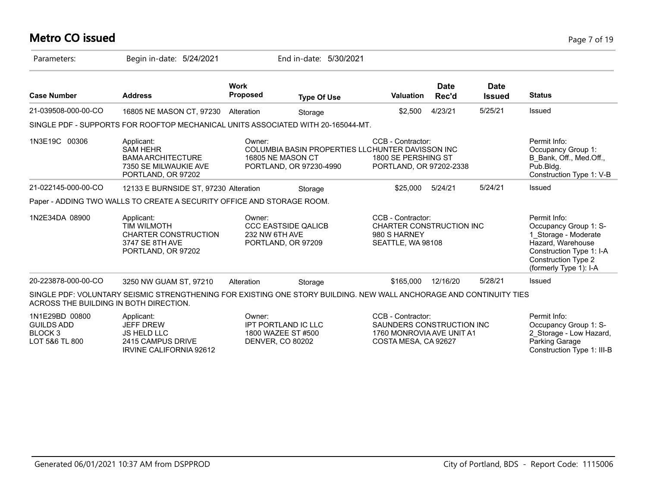#### **Metro CO issued** Page 7 of 19

| Parameters:                                                                 | Begin in-date: 5/24/2021                                                                                            |                                   | End in-date: 5/30/2021                                                                           |                                                                                                     |                      |                              |                                                                                                                                                                        |
|-----------------------------------------------------------------------------|---------------------------------------------------------------------------------------------------------------------|-----------------------------------|--------------------------------------------------------------------------------------------------|-----------------------------------------------------------------------------------------------------|----------------------|------------------------------|------------------------------------------------------------------------------------------------------------------------------------------------------------------------|
| <b>Case Number</b>                                                          | <b>Address</b>                                                                                                      | <b>Work</b><br><b>Proposed</b>    | <b>Type Of Use</b>                                                                               | Valuation                                                                                           | <b>Date</b><br>Rec'd | <b>Date</b><br><b>Issued</b> | <b>Status</b>                                                                                                                                                          |
| 21-039508-000-00-CO                                                         | 16805 NE MASON CT, 97230                                                                                            | Alteration                        | Storage                                                                                          | \$2,500                                                                                             | 4/23/21              | 5/25/21                      | Issued                                                                                                                                                                 |
|                                                                             | SINGLE PDF - SUPPORTS FOR ROOFTOP MECHANICAL UNITS ASSOCIATED WITH 20-165044-MT.                                    |                                   |                                                                                                  |                                                                                                     |                      |                              |                                                                                                                                                                        |
| 1N3E19C 00306                                                               | Applicant:<br><b>SAM HEHR</b><br><b>BAMA ARCHITECTURE</b><br>7350 SE MILWAUKIE AVE<br>PORTLAND, OR 97202            | Owner:                            | COLUMBIA BASIN PROPERTIES LLCHUNTER DAVISSON INC<br>16805 NE MASON CT<br>PORTLAND, OR 97230-4990 | CCB - Contractor:<br>1800 SE PERSHING ST<br>PORTLAND, OR 97202-2338                                 |                      |                              | Permit Info:<br>Occupancy Group 1:<br>B Bank, Off., Med.Off.,<br>Pub.Bldg.<br>Construction Type 1: V-B                                                                 |
| 21-022145-000-00-CO                                                         | 12133 E BURNSIDE ST, 97230 Alteration                                                                               |                                   | Storage                                                                                          | \$25,000                                                                                            | 5/24/21              | 5/24/21                      | Issued                                                                                                                                                                 |
|                                                                             | Paper - ADDING TWO WALLS TO CREATE A SECURITY OFFICE AND STORAGE ROOM.                                              |                                   |                                                                                                  |                                                                                                     |                      |                              |                                                                                                                                                                        |
| 1N2E34DA 08900                                                              | Applicant:<br><b>TIM WILMOTH</b><br><b>CHARTER CONSTRUCTION</b><br>3747 SE 8TH AVE<br>PORTLAND, OR 97202            | Owner:<br>232 NW 6TH AVE          | <b>CCC EASTSIDE QALICB</b><br>PORTLAND, OR 97209                                                 | CCB - Contractor:<br><b>CHARTER CONSTRUCTION INC</b><br>980 S HARNEY<br>SEATTLE, WA 98108           |                      |                              | Permit Info:<br>Occupancy Group 1: S-<br>1 Storage - Moderate<br>Hazard, Warehouse<br>Construction Type 1: I-A<br><b>Construction Type 2</b><br>(formerly Type 1): I-A |
| 20-223878-000-00-CO                                                         | 3250 NW GUAM ST, 97210                                                                                              | Alteration                        | Storage                                                                                          | \$165,000                                                                                           | 12/16/20             | 5/28/21                      | <b>Issued</b>                                                                                                                                                          |
| ACROSS THE BUILDING IN BOTH DIRECTION.                                      | SINGLE PDF: VOLUNTARY SEISMIC STRENGTHENING FOR EXISTING ONE STORY BUILDING. NEW WALL ANCHORAGE AND CONTINUITY TIES |                                   |                                                                                                  |                                                                                                     |                      |                              |                                                                                                                                                                        |
| 1N1E29BD 00800<br><b>GUILDS ADD</b><br>BLOCK <sub>3</sub><br>LOT 5&6 TL 800 | Applicant:<br><b>JEFF DREW</b><br><b>JS HELD LLC</b><br>2415 CAMPUS DRIVE                                           | Owner:<br><b>DENVER, CO 80202</b> | <b>IPT PORTLAND IC LLC</b><br>1800 WAZEE ST #500                                                 | CCB - Contractor:<br>SAUNDERS CONSTRUCTION INC<br>1760 MONROVIA AVE UNIT A1<br>COSTA MESA, CA 92627 |                      |                              | Permit Info:<br>Occupancy Group 1: S-<br>2 Storage - Low Hazard,<br>Parking Garage                                                                                     |

IRVINE CALIFORNIA 92612

Construction Type 1: III-B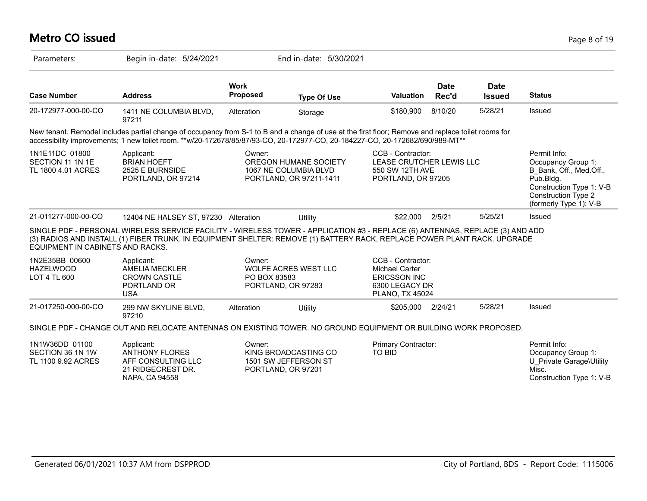## **Metro CO issued** Page 8 of 19

| Parameters:                                              | Begin in-date: 5/24/2021                                                                                                                                                                                                                                                           |                                | End in-date: 5/30/2021                                                    |                                                                                                               |                      |                              |                                                                                                                                                                |
|----------------------------------------------------------|------------------------------------------------------------------------------------------------------------------------------------------------------------------------------------------------------------------------------------------------------------------------------------|--------------------------------|---------------------------------------------------------------------------|---------------------------------------------------------------------------------------------------------------|----------------------|------------------------------|----------------------------------------------------------------------------------------------------------------------------------------------------------------|
| <b>Case Number</b>                                       | <b>Address</b>                                                                                                                                                                                                                                                                     | <b>Work</b><br><b>Proposed</b> | <b>Type Of Use</b>                                                        | <b>Valuation</b>                                                                                              | <b>Date</b><br>Rec'd | <b>Date</b><br><b>Issued</b> | <b>Status</b>                                                                                                                                                  |
| 20-172977-000-00-CO                                      | 1411 NE COLUMBIA BLVD,<br>97211                                                                                                                                                                                                                                                    | Alteration                     | Storage                                                                   | \$180,900                                                                                                     | 8/10/20              | 5/28/21                      | Issued                                                                                                                                                         |
|                                                          | New tenant. Remodel includes partial change of occupancy from S-1 to B and a change of use at the first floor; Remove and replace toilet rooms for<br>accessibility improvements; 1 new toilet room. **w/20-172678/85/87/93-CO, 20-172977-CO, 20-184227-CO, 20-172682/690/989-MT** |                                |                                                                           |                                                                                                               |                      |                              |                                                                                                                                                                |
| 1N1E11DC 01800<br>SECTION 11 1N 1E<br>TL 1800 4.01 ACRES | Applicant:<br><b>BRIAN HOEFT</b><br>2525 E BURNSIDE<br>PORTLAND, OR 97214                                                                                                                                                                                                          | Owner:                         | OREGON HUMANE SOCIETY<br>1067 NE COLUMBIA BLVD<br>PORTLAND, OR 97211-1411 | CCB - Contractor:<br>LEASE CRUTCHER LEWIS LLC<br>550 SW 12TH AVE<br>PORTLAND, OR 97205                        |                      |                              | Permit Info:<br>Occupancy Group 1:<br>B Bank, Off., Med.Off.,<br>Pub.Bldg.<br>Construction Type 1: V-B<br><b>Construction Type 2</b><br>(formerly Type 1): V-B |
| 21-011277-000-00-CO                                      | 12404 NE HALSEY ST, 97230 Alteration                                                                                                                                                                                                                                               |                                | Utility                                                                   | \$22,000                                                                                                      | 2/5/21               | 5/25/21                      | Issued                                                                                                                                                         |
| EQUIPMENT IN CABINETS AND RACKS.                         | SINGLE PDF - PERSONAL WIRELESS SERVICE FACILITY - WIRELESS TOWER - APPLICATION #3 - REPLACE (6) ANTENNAS, REPLACE (3) AND ADD<br>(3) RADIOS AND INSTALL (1) FIBER TRUNK. IN EQUIPMENT SHELTER: REMOVE (1) BATTERY RACK, REPLACE POWER PLANT RACK. UPGRADE                          |                                |                                                                           |                                                                                                               |                      |                              |                                                                                                                                                                |
| 1N2E35BB 00600<br><b>HAZELWOOD</b><br>LOT 4 TL 600       | Applicant:<br><b>AMELIA MECKLER</b><br><b>CROWN CASTLE</b><br>PORTLAND OR<br><b>USA</b>                                                                                                                                                                                            | Owner:<br>PO BOX 83583         | WOLFE ACRES WEST LLC<br>PORTLAND, OR 97283                                | CCB - Contractor:<br><b>Michael Carter</b><br><b>ERICSSON INC</b><br>6300 LEGACY DR<br><b>PLANO, TX 45024</b> |                      |                              |                                                                                                                                                                |
| 21-017250-000-00-CO                                      | 299 NW SKYLINE BLVD,<br>97210                                                                                                                                                                                                                                                      | Alteration                     | Utility                                                                   | \$205,000                                                                                                     | 2/24/21              | 5/28/21                      | Issued                                                                                                                                                         |
|                                                          | SINGLE PDF - CHANGE OUT AND RELOCATE ANTENNAS ON EXISTING TOWER. NO GROUND EQUIPMENT OR BUILDING WORK PROPOSED.                                                                                                                                                                    |                                |                                                                           |                                                                                                               |                      |                              |                                                                                                                                                                |
| 1N1W36DD 01100<br>SECTION 36 1N 1W<br>TL 1100 9.92 ACRES | Applicant:<br><b>ANTHONY FLORES</b><br>AFF CONSULTING LLC<br>21 RIDGECREST DR.<br>NAPA, CA 94558                                                                                                                                                                                   | Owner:                         | KING BROADCASTING CO<br>1501 SW JEFFERSON ST<br>PORTLAND, OR 97201        | Primary Contractor:<br><b>TO BID</b>                                                                          |                      |                              | Permit Info:<br>Occupancy Group 1:<br>U Private Garage\Utility<br>Misc.<br>Construction Type 1: V-B                                                            |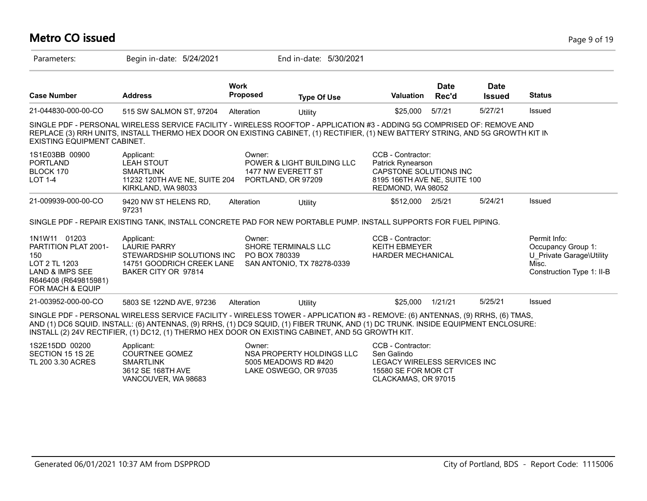| <b>Metro CO issued</b> | Page 9 of 19 |
|------------------------|--------------|
|                        |              |

| Parameters:                                                                                                                                   | Begin in-date: 5/24/2021                                                                                                                                                                                                                                                                                                                                               |                                                    | End in-date: 5/30/2021                                                     |                                                                                                                       |                      |                              |                                                                                                      |
|-----------------------------------------------------------------------------------------------------------------------------------------------|------------------------------------------------------------------------------------------------------------------------------------------------------------------------------------------------------------------------------------------------------------------------------------------------------------------------------------------------------------------------|----------------------------------------------------|----------------------------------------------------------------------------|-----------------------------------------------------------------------------------------------------------------------|----------------------|------------------------------|------------------------------------------------------------------------------------------------------|
| <b>Case Number</b>                                                                                                                            | <b>Address</b>                                                                                                                                                                                                                                                                                                                                                         | <b>Work</b><br>Proposed                            | <b>Type Of Use</b>                                                         | <b>Valuation</b>                                                                                                      | <b>Date</b><br>Rec'd | <b>Date</b><br><b>Issued</b> | <b>Status</b>                                                                                        |
| 21-044830-000-00-CO                                                                                                                           | 515 SW SALMON ST, 97204                                                                                                                                                                                                                                                                                                                                                | Alteration                                         | Utility                                                                    | \$25,000                                                                                                              | 5/7/21               | 5/27/21                      | Issued                                                                                               |
| EXISTING EQUIPMENT CABINET.                                                                                                                   | SINGLE PDF - PERSONAL WIRELESS SERVICE FACILITY - WIRELESS ROOFTOP - APPLICATION #3 - ADDING 5G COMPRISED OF: REMOVE AND<br>REPLACE (3) RRH UNITS, INSTALL THERMO HEX DOOR ON EXISTING CABINET, (1) RECTIFIER, (1) NEW BATTERY STRING, AND 5G GROWTH KIT IN                                                                                                            |                                                    |                                                                            |                                                                                                                       |                      |                              |                                                                                                      |
| 1S1E03BB 00900<br><b>PORTLAND</b><br>BLOCK 170<br><b>LOT 1-4</b>                                                                              | Applicant:<br><b>LEAH STOUT</b><br><b>SMARTLINK</b><br>11232 120TH AVE NE, SUITE 204<br>KIRKLAND, WA 98033                                                                                                                                                                                                                                                             | Owner:<br>1477 NW EVERETT ST<br>PORTLAND, OR 97209 | POWER & LIGHT BUILDING LLC                                                 | CCB - Contractor:<br>Patrick Rynearson<br>CAPSTONE SOLUTIONS INC<br>8195 166TH AVE NE, SUITE 100<br>REDMOND, WA 98052 |                      |                              |                                                                                                      |
| 21-009939-000-00-CO                                                                                                                           | 9420 NW ST HELENS RD,<br>97231                                                                                                                                                                                                                                                                                                                                         | Alteration                                         | Utility                                                                    | \$512,000 2/5/21                                                                                                      |                      | 5/24/21                      | Issued                                                                                               |
|                                                                                                                                               | SINGLE PDF - REPAIR EXISTING TANK, INSTALL CONCRETE PAD FOR NEW PORTABLE PUMP. INSTALL SUPPORTS FOR FUEL PIPING.                                                                                                                                                                                                                                                       |                                                    |                                                                            |                                                                                                                       |                      |                              |                                                                                                      |
| 1N1W11 01203<br><b>PARTITION PLAT 2001-</b><br>150<br>LOT 2 TL 1203<br><b>LAND &amp; IMPS SEE</b><br>R646408 (R649815981)<br>FOR MACH & EQUIP | Applicant:<br><b>LAURIE PARRY</b><br>STEWARDSHIP SOLUTIONS INC<br>14751 GOODRICH CREEK LANE<br>BAKER CITY OR 97814                                                                                                                                                                                                                                                     | Owner:<br>PO BOX 780339                            | SHORE TERMINALS LLC<br>SAN ANTONIO, TX 78278-0339                          | CCB - Contractor:<br><b>KEITH EBMEYER</b><br><b>HARDER MECHANICAL</b>                                                 |                      |                              | Permit Info:<br>Occupancy Group 1:<br>U Private Garage\Utility<br>Misc.<br>Construction Type 1: II-B |
| 21-003952-000-00-CO                                                                                                                           | 5803 SE 122ND AVE, 97236                                                                                                                                                                                                                                                                                                                                               | Alteration                                         | Utility                                                                    | \$25,000                                                                                                              | 1/21/21              | 5/25/21                      | Issued                                                                                               |
|                                                                                                                                               | SINGLE PDF - PERSONAL WIRELESS SERVICE FACILITY - WIRELESS TOWER - APPLICATION #3 - REMOVE: (6) ANTENNAS, (9) RRHS, (6) TMAS,<br>AND (1) DC6 SQUID. INSTALL: (6) ANTENNAS, (9) RRHS, (1) DC9 SQUID, (1) FIBER TRUNK, AND (1) DC TRUNK. INSIDE EQUIPMENT ENCLOSURE:<br>INSTALL (2) 24V RECTIFIER, (1) DC12, (1) THERMO HEX DOOR ON EXISTING CABINET, AND 5G GROWTH KIT. |                                                    |                                                                            |                                                                                                                       |                      |                              |                                                                                                      |
| 1S2E15DD 00200<br>SECTION 15 1S 2E<br>TL 200 3.30 ACRES                                                                                       | Applicant:<br><b>COURTNEE GOMEZ</b><br><b>SMARTLINK</b><br>3612 SE 168TH AVE<br>VANCOUVER, WA 98683                                                                                                                                                                                                                                                                    | Owner:                                             | NSA PROPERTY HOLDINGS LLC<br>5005 MEADOWS RD #420<br>LAKE OSWEGO, OR 97035 | CCB - Contractor:<br>Sen Galindo<br>LEGACY WIRELESS SERVICES INC<br>15580 SE FOR MOR CT<br>CLACKAMAS, OR 97015        |                      |                              |                                                                                                      |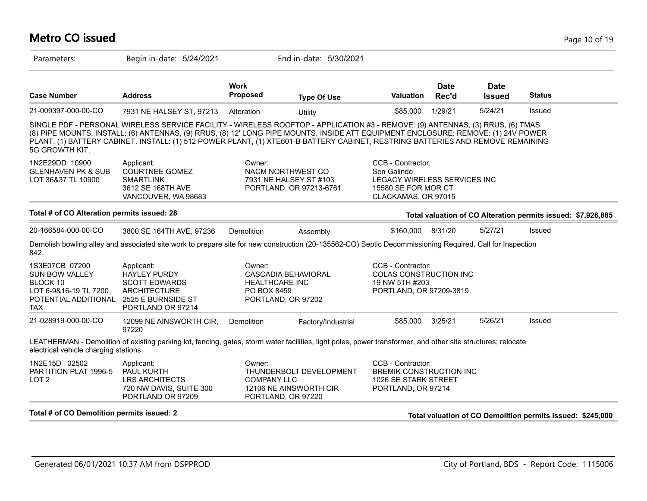| <b>Metro CO issued</b>                                                                                             |                                                                                                                                                                                                                                                                                                                                                                                                         |                                                |                                                                         |                                                                                                                |                      |                              |               | Page 10 of 19                                                |
|--------------------------------------------------------------------------------------------------------------------|---------------------------------------------------------------------------------------------------------------------------------------------------------------------------------------------------------------------------------------------------------------------------------------------------------------------------------------------------------------------------------------------------------|------------------------------------------------|-------------------------------------------------------------------------|----------------------------------------------------------------------------------------------------------------|----------------------|------------------------------|---------------|--------------------------------------------------------------|
| Parameters:                                                                                                        | Begin in-date: 5/24/2021                                                                                                                                                                                                                                                                                                                                                                                |                                                | End in-date: 5/30/2021                                                  |                                                                                                                |                      |                              |               |                                                              |
| <b>Case Number</b>                                                                                                 | <b>Address</b>                                                                                                                                                                                                                                                                                                                                                                                          | <b>Work</b><br><b>Proposed</b>                 | <b>Type Of Use</b>                                                      | <b>Valuation</b>                                                                                               | <b>Date</b><br>Rec'd | <b>Date</b><br><b>Issued</b> | <b>Status</b> |                                                              |
| 21-009397-000-00-CO                                                                                                | 7931 NE HALSEY ST, 97213                                                                                                                                                                                                                                                                                                                                                                                | Alteration                                     | Utility                                                                 | \$85,000                                                                                                       | 1/29/21              | 5/24/21                      | Issued        |                                                              |
| 5G GROWTH KIT.                                                                                                     | SINGLE PDF - PERSONAL WIRELESS SERVICE FACILITY - WIRELESS ROOFTOP - APPLICATION #3 - REMOVE: (9) ANTENNAS, (3) RRUS, (6) TMAS,<br>(8) PIPE MOUNTS. INSTALL: (6) ANTENNAS, (9) RRUS, (8) 12' LONG PIPE MOUNTS. INSIDE ATT EQUIPMENT ENCLOSURE: REMOVE: (1) 24V POWER<br>PLANT, (1) BATTERY CABINET. INSTALL: (1) 512 POWER PLANT, (1) XTE601-B BATTERY CABINET, RESTRING BATTERIES AND REMOVE REMAINING |                                                |                                                                         |                                                                                                                |                      |                              |               |                                                              |
| 1N2E29DD 10900<br><b>GLENHAVEN PK &amp; SUB</b><br>LOT 36&37 TL 10900                                              | Applicant:<br><b>COURTNEE GOMEZ</b><br><b>SMARTLINK</b><br>3612 SE 168TH AVE<br>VANCOUVER, WA 98683                                                                                                                                                                                                                                                                                                     | Owner:                                         | NACM NORTHWEST CO<br>7931 NE HALSEY ST #103<br>PORTLAND, OR 97213-6761  | CCB - Contractor:<br>Sen Galindo<br>LEGACY WIRELESS SERVICES INC<br>15580 SE FOR MOR CT<br>CLACKAMAS, OR 97015 |                      |                              |               |                                                              |
| Total # of CO Alteration permits issued: 28                                                                        |                                                                                                                                                                                                                                                                                                                                                                                                         |                                                |                                                                         |                                                                                                                |                      |                              |               | Total valuation of CO Alteration permits issued: \$7,926,885 |
| 20-166584-000-00-CO                                                                                                | 3800 SE 164TH AVE, 97236                                                                                                                                                                                                                                                                                                                                                                                | Demolition                                     | Assembly                                                                | \$160,000                                                                                                      | 8/31/20              | 5/27/21                      | Issued        |                                                              |
| 842.                                                                                                               | Demolish bowling alley and associated site work to prepare site for new construction (20-135562-CO) Septic Decommissioning Required. Call for Inspection                                                                                                                                                                                                                                                |                                                |                                                                         |                                                                                                                |                      |                              |               |                                                              |
| 1S3E07CB 07200<br><b>SUN BOW VALLEY</b><br>BLOCK 10<br>LOT 6-9&16-19 TL 7200<br>POTENTIAL ADDITIONAL<br><b>TAX</b> | Applicant:<br><b>HAYLEY PURDY</b><br><b>SCOTT EDWARDS</b><br><b>ARCHITECTURE</b><br>2525 E BURNSIDE ST<br>PORTLAND OR 97214                                                                                                                                                                                                                                                                             | Owner:<br><b>HEALTHCARE INC</b><br>PO BOX 8459 | CASCADIA BEHAVIORAL<br>PORTLAND, OR 97202                               | CCB - Contractor:<br>COLAS CONSTRUCTION INC<br>19 NW 5TH #203<br>PORTLAND, OR 97209-3819                       |                      |                              |               |                                                              |
| 21-028919-000-00-CO                                                                                                | 12099 NE AINSWORTH CIR,<br>97220                                                                                                                                                                                                                                                                                                                                                                        | Demolition                                     | Factory/Industrial                                                      | \$85,000                                                                                                       | 3/25/21              | 5/26/21                      | <b>Issued</b> |                                                              |
| electrical vehicle charging stations                                                                               | LEATHERMAN - Demolition of existing parking lot, fencing, gates, storm water facilities, light poles, power transformer, and other site structures; relocate                                                                                                                                                                                                                                            |                                                |                                                                         |                                                                                                                |                      |                              |               |                                                              |
| 1N2E15D 02502<br>PARTITION PLAT 1996-5<br>LOT <sub>2</sub>                                                         | Applicant:<br><b>PAUL KURTH</b><br><b>LRS ARCHITECTS</b><br>720 NW DAVIS, SUITE 300<br>PORTLAND OR 97209                                                                                                                                                                                                                                                                                                | Owner:<br><b>COMPANY LLC</b>                   | THUNDERBOLT DEVELOPMENT<br>12106 NE AINSWORTH CIR<br>PORTLAND, OR 97220 | CCB - Contractor:<br><b>BREMIK CONSTRUCTION INC</b><br>1026 SE STARK STREET<br>PORTLAND, OR 97214              |                      |                              |               |                                                              |
| Total # of CO Demolition permits issued: 2                                                                         |                                                                                                                                                                                                                                                                                                                                                                                                         |                                                |                                                                         |                                                                                                                |                      |                              |               | Total valuation of CO Demolition permits issued: \$245,000   |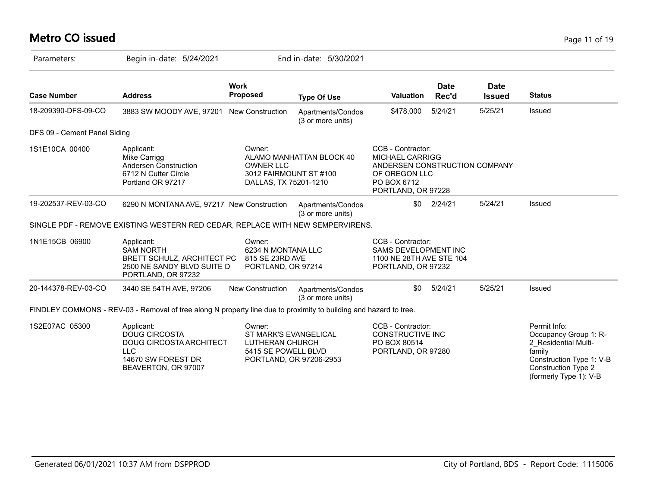# **Metro CO issued** Page 11 of 19

| Parameters:                  | Begin in-date: 5/24/2021                                                                                                 |                                                                               | End in-date: 5/30/2021                 |                                                                                                                                    |                      |                              |                                                                                                                                                             |
|------------------------------|--------------------------------------------------------------------------------------------------------------------------|-------------------------------------------------------------------------------|----------------------------------------|------------------------------------------------------------------------------------------------------------------------------------|----------------------|------------------------------|-------------------------------------------------------------------------------------------------------------------------------------------------------------|
| <b>Case Number</b>           | <b>Address</b>                                                                                                           | <b>Work</b><br><b>Proposed</b>                                                | <b>Type Of Use</b>                     | <b>Valuation</b>                                                                                                                   | <b>Date</b><br>Rec'd | <b>Date</b><br><b>Issued</b> | <b>Status</b>                                                                                                                                               |
| 18-209390-DFS-09-CO          | 3883 SW MOODY AVE, 97201 New Construction                                                                                |                                                                               | Apartments/Condos<br>(3 or more units) | \$478,000                                                                                                                          | 5/24/21              | 5/25/21                      | Issued                                                                                                                                                      |
| DFS 09 - Cement Panel Siding |                                                                                                                          |                                                                               |                                        |                                                                                                                                    |                      |                              |                                                                                                                                                             |
| 1S1E10CA 00400               | Applicant:<br>Mike Carrigg<br>Andersen Construction<br>6712 N Cutter Circle<br>Portland OR 97217                         | Owner:<br><b>OWNER LLC</b><br>3012 FAIRMOUNT ST #100<br>DALLAS, TX 75201-1210 | ALAMO MANHATTAN BLOCK 40               | CCB - Contractor:<br><b>MICHAEL CARRIGG</b><br>ANDERSEN CONSTRUCTION COMPANY<br>OF OREGON LLC<br>PO BOX 6712<br>PORTLAND, OR 97228 |                      |                              |                                                                                                                                                             |
| 19-202537-REV-03-CO          | 6290 N MONTANA AVE, 97217 New Construction                                                                               |                                                                               | Apartments/Condos<br>(3 or more units) | \$0                                                                                                                                | 2/24/21              | 5/24/21                      | Issued                                                                                                                                                      |
|                              | SINGLE PDF - REMOVE EXISTING WESTERN RED CEDAR, REPLACE WITH NEW SEMPERVIRENS.                                           |                                                                               |                                        |                                                                                                                                    |                      |                              |                                                                                                                                                             |
| 1N1E15CB 06900               | Applicant:<br><b>SAM NORTH</b><br>BRETT SCHULZ, ARCHITECT PC<br>2500 NE SANDY BLVD SUITE D<br>PORTLAND, OR 97232         | Owner:<br>6234 N MONTANA LLC<br>815 SE 23RD AVE<br>PORTLAND, OR 97214         |                                        | CCB - Contractor:<br><b>SAMS DEVELOPMENT INC</b><br>1100 NE 28TH AVE STE 104<br>PORTLAND, OR 97232                                 |                      |                              |                                                                                                                                                             |
| 20-144378-REV-03-CO          | 3440 SE 54TH AVE, 97206                                                                                                  | New Construction                                                              | Apartments/Condos<br>(3 or more units) | \$0                                                                                                                                | 5/24/21              | 5/25/21                      | Issued                                                                                                                                                      |
|                              | FINDLEY COMMONS - REV-03 - Removal of tree along N property line due to proximity to building and hazard to tree.        |                                                                               |                                        |                                                                                                                                    |                      |                              |                                                                                                                                                             |
| 1S2E07AC 05300               | Applicant:<br><b>DOUG CIRCOSTA</b><br>DOUG CIRCOSTA ARCHITECT<br><b>LLC</b><br>14670 SW FOREST DR<br>BEAVERTON, OR 97007 | Owner:<br>ST MARK'S EVANGELICAL<br>LUTHERAN CHURCH<br>5415 SE POWELL BLVD     | PORTLAND, OR 97206-2953                | CCB - Contractor:<br>CONSTRUCTIVE INC<br>PO BOX 80514<br>PORTLAND, OR 97280                                                        |                      |                              | Permit Info:<br>Occupancy Group 1: R-<br>2 Residential Multi-<br>family<br>Construction Type 1: V-B<br><b>Construction Type 2</b><br>(formerly Type 1): V-B |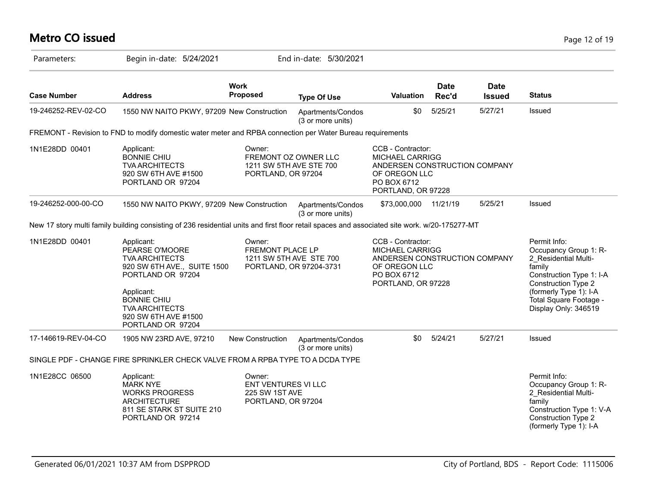# **Metro CO issued** Page 12 of 19

| Parameters:         | Begin in-date: 5/24/2021                                                                                                                                                                                            |                                                                                  | End in-date: 5/30/2021                 |                                                                                                                                    |                      |                              |                                                                                                                                                                                                               |
|---------------------|---------------------------------------------------------------------------------------------------------------------------------------------------------------------------------------------------------------------|----------------------------------------------------------------------------------|----------------------------------------|------------------------------------------------------------------------------------------------------------------------------------|----------------------|------------------------------|---------------------------------------------------------------------------------------------------------------------------------------------------------------------------------------------------------------|
| <b>Case Number</b>  | <b>Address</b>                                                                                                                                                                                                      | <b>Work</b><br>Proposed                                                          | <b>Type Of Use</b>                     | <b>Valuation</b>                                                                                                                   | <b>Date</b><br>Rec'd | <b>Date</b><br><b>Issued</b> | <b>Status</b>                                                                                                                                                                                                 |
| 19-246252-REV-02-CO | 1550 NW NAITO PKWY, 97209 New Construction                                                                                                                                                                          |                                                                                  | Apartments/Condos<br>(3 or more units) | \$0                                                                                                                                | 5/25/21              | 5/27/21                      | Issued                                                                                                                                                                                                        |
|                     | FREMONT - Revision to FND to modify domestic water meter and RPBA connection per Water Bureau requirements                                                                                                          |                                                                                  |                                        |                                                                                                                                    |                      |                              |                                                                                                                                                                                                               |
| 1N1E28DD 00401      | Applicant:<br><b>BONNIE CHIU</b><br><b>TVA ARCHITECTS</b><br>920 SW 6TH AVE #1500<br>PORTLAND OR 97204                                                                                                              | Owner:<br>1211 SW 5TH AVE STE 700<br>PORTLAND, OR 97204                          | FREMONT OZ OWNER LLC                   | CCB - Contractor:<br><b>MICHAEL CARRIGG</b><br>ANDERSEN CONSTRUCTION COMPANY<br>OF OREGON LLC<br>PO BOX 6712<br>PORTLAND, OR 97228 |                      |                              |                                                                                                                                                                                                               |
| 19-246252-000-00-CO | 1550 NW NAITO PKWY, 97209 New Construction                                                                                                                                                                          |                                                                                  | Apartments/Condos<br>(3 or more units) | \$73,000,000 11/21/19                                                                                                              |                      | 5/25/21                      | <b>Issued</b>                                                                                                                                                                                                 |
|                     | New 17 story multi family building consisting of 236 residential units and first floor retail spaces and associated site work. w/20-175277-MT                                                                       |                                                                                  |                                        |                                                                                                                                    |                      |                              |                                                                                                                                                                                                               |
| 1N1E28DD 00401      | Applicant:<br>PEARSE O'MOORE<br><b>TVA ARCHITECTS</b><br>920 SW 6TH AVE., SUITE 1500<br>PORTLAND OR 97204<br>Applicant:<br><b>BONNIE CHIU</b><br><b>TVA ARCHITECTS</b><br>920 SW 6TH AVE #1500<br>PORTLAND OR 97204 | Owner:<br>FREMONT PLACE LP<br>1211 SW 5TH AVE STE 700<br>PORTLAND, OR 97204-3731 |                                        | CCB - Contractor:<br><b>MICHAEL CARRIGG</b><br>ANDERSEN CONSTRUCTION COMPANY<br>OF OREGON LLC<br>PO BOX 6712<br>PORTLAND, OR 97228 |                      |                              | Permit Info:<br>Occupancy Group 1: R-<br>2_Residential Multi-<br>family<br>Construction Type 1: I-A<br><b>Construction Type 2</b><br>(formerly Type 1): I-A<br>Total Square Footage -<br>Display Only: 346519 |
| 17-146619-REV-04-CO | 1905 NW 23RD AVE, 97210                                                                                                                                                                                             | New Construction                                                                 | Apartments/Condos<br>(3 or more units) | \$0                                                                                                                                | 5/24/21              | 5/27/21                      | Issued                                                                                                                                                                                                        |
|                     | SINGLE PDF - CHANGE FIRE SPRINKLER CHECK VALVE FROM A RPBA TYPE TO A DCDA TYPE                                                                                                                                      |                                                                                  |                                        |                                                                                                                                    |                      |                              |                                                                                                                                                                                                               |
| 1N1E28CC 06500      | Applicant:<br><b>MARK NYE</b><br><b>WORKS PROGRESS</b><br><b>ARCHITECTURE</b><br>811 SE STARK ST SUITE 210<br>PORTLAND OR 97214                                                                                     | Owner:<br><b>ENT VENTURES VI LLC</b><br>225 SW 1ST AVE<br>PORTLAND, OR 97204     |                                        |                                                                                                                                    |                      |                              | Permit Info:<br>Occupancy Group 1: R-<br>2 Residential Multi-<br>family<br>Construction Type 1: V-A<br><b>Construction Type 2</b><br>(formerly Type 1): I-A                                                   |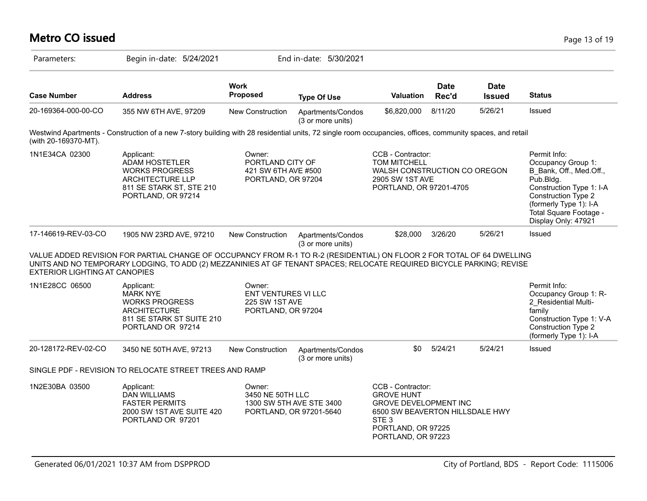#### **Metro CO issued** Page 13 of 19

| Parameters:                   | Begin in-date: 5/24/2021                                                                                                                                                                                                                        |                               | End in-date: 5/30/2021                                        |                  |                                                                                        |                              |                                                                                                                                                                                                          |
|-------------------------------|-------------------------------------------------------------------------------------------------------------------------------------------------------------------------------------------------------------------------------------------------|-------------------------------|---------------------------------------------------------------|------------------|----------------------------------------------------------------------------------------|------------------------------|----------------------------------------------------------------------------------------------------------------------------------------------------------------------------------------------------------|
| <b>Case Number</b>            | <b>Address</b>                                                                                                                                                                                                                                  | Work<br><b>Proposed</b>       | <b>Type Of Use</b>                                            | <b>Valuation</b> | <b>Date</b><br>Rec'd                                                                   | <b>Date</b><br><b>Issued</b> | <b>Status</b>                                                                                                                                                                                            |
| 20-169364-000-00-CO           | 355 NW 6TH AVE, 97209                                                                                                                                                                                                                           | New Construction              | Apartments/Condos<br>(3 or more units)                        | \$6,820,000      | 8/11/20                                                                                | 5/26/21                      | Issued                                                                                                                                                                                                   |
| (with 20-169370-MT).          | Westwind Apartments - Construction of a new 7-story building with 28 residential units, 72 single room occupancies, offices, community spaces, and retail                                                                                       |                               |                                                               |                  |                                                                                        |                              |                                                                                                                                                                                                          |
| 1N1E34CA 02300                | Applicant:<br><b>ADAM HOSTETLER</b><br><b>WORKS PROGRESS</b><br><b>ARCHITECTURE LLP</b><br>811 SE STARK ST, STE 210<br>PORTLAND, OR 97214                                                                                                       | Owner:                        | PORTLAND CITY OF<br>421 SW 6TH AVE #500<br>PORTLAND, OR 97204 |                  | CCB - Contractor:<br><b>TOM MITCHELL</b><br>2905 SW 1ST AVE<br>PORTLAND, OR 97201-4705 | WALSH CONSTRUCTION CO OREGON | Permit Info:<br>Occupancy Group 1:<br>B Bank, Off., Med.Off.,<br>Pub.Bldg.<br>Construction Type 1: I-A<br>Construction Type 2<br>(formerly Type 1): I-A<br>Total Square Footage -<br>Display Only: 47921 |
| 17-146619-REV-03-CO           | 1905 NW 23RD AVE, 97210                                                                                                                                                                                                                         | New Construction              | Apartments/Condos<br>(3 or more units)                        | \$28,000         | 3/26/20                                                                                | 5/26/21                      | Issued                                                                                                                                                                                                   |
| EXTERIOR LIGHTING AT CANOPIES | VALUE ADDED REVISION FOR PARTIAL CHANGE OF OCCUPANCY FROM R-1 TO R-2 (RESIDENTIAL) ON FLOOR 2 FOR TOTAL OF 64 DWELLING<br>UNITS AND NO TEMPORARY LODGING, TO ADD (2) MEZZANINIES AT GF TENANT SPACES; RELOCATE REQUIRED BICYCLE PARKING; REVISE |                               |                                                               |                  |                                                                                        |                              |                                                                                                                                                                                                          |
| 1N1E28CC 06500                | Applicant:<br><b>MARK NYE</b>                                                                                                                                                                                                                   | Owner:<br>ENT VENTURES VI LLC |                                                               |                  |                                                                                        |                              | Permit Info:<br>Occupancy Group 1: R-                                                                                                                                                                    |

| 1N1E28CC 06500      | Applicant:<br><b>MARK NYE</b><br><b>WORKS PROGRESS</b><br><b>ARCHITECTURE</b><br>811 SE STARK ST SUITE 210<br>PORTLAND OR 97214 | Owner:<br>ENT VENTURES VI LLC<br>225 SW 1ST AVE<br>PORTLAND, OR 97204 |                                                     |                                                                                                                                                                           |         |         | Permit Info:<br>Occupancy Group 1: R-<br>2 Residential Multi-<br>family<br>Construction Type 1: V-A<br>Construction Type 2<br>(formerly Type 1): I-A |
|---------------------|---------------------------------------------------------------------------------------------------------------------------------|-----------------------------------------------------------------------|-----------------------------------------------------|---------------------------------------------------------------------------------------------------------------------------------------------------------------------------|---------|---------|------------------------------------------------------------------------------------------------------------------------------------------------------|
| 20-128172-REV-02-CO | 3450 NE 50TH AVE, 97213                                                                                                         | New Construction                                                      | Apartments/Condos<br>(3 or more units)              | \$0                                                                                                                                                                       | 5/24/21 | 5/24/21 | Issued                                                                                                                                               |
|                     | SINGLE PDF - REVISION TO RELOCATE STREET TREES AND RAMP                                                                         |                                                                       |                                                     |                                                                                                                                                                           |         |         |                                                                                                                                                      |
| 1N2E30BA 03500      | Applicant:<br>DAN WILLIAMS<br><b>FASTER PERMITS</b><br>2000 SW 1ST AVE SUITE 420<br>PORTLAND OR 97201                           | Owner:<br>3450 NE 50TH LLC                                            | 1300 SW 5TH AVE STE 3400<br>PORTLAND, OR 97201-5640 | CCB - Contractor:<br><b>GROVE HUNT</b><br><b>GROVE DEVELOPMENT INC</b><br>6500 SW BEAVERTON HILLSDALE HWY<br>STE <sub>3</sub><br>PORTLAND, OR 97225<br>PORTLAND, OR 97223 |         |         |                                                                                                                                                      |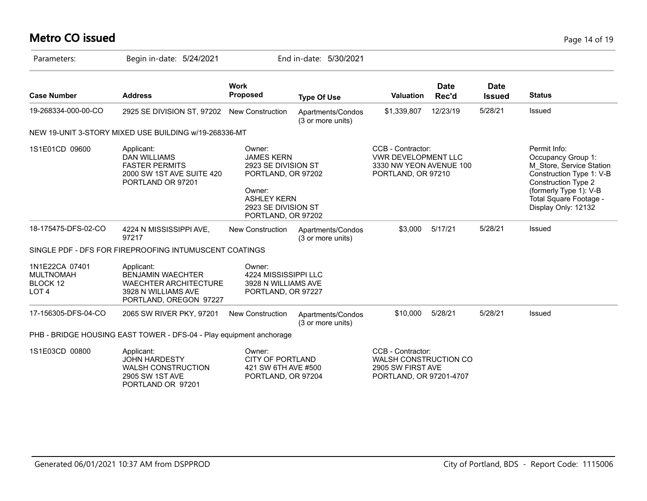# **Metro CO issued** Page 14 of 19

| Parameters:                                                        | Begin in-date: 5/24/2021                                                                                                |                                                                                                                                                       | End in-date: 5/30/2021                 |                                                                                                  |                      |                              |                                                                                                                                                                                                     |
|--------------------------------------------------------------------|-------------------------------------------------------------------------------------------------------------------------|-------------------------------------------------------------------------------------------------------------------------------------------------------|----------------------------------------|--------------------------------------------------------------------------------------------------|----------------------|------------------------------|-----------------------------------------------------------------------------------------------------------------------------------------------------------------------------------------------------|
| <b>Case Number</b>                                                 | <b>Address</b>                                                                                                          | <b>Work</b><br><b>Proposed</b>                                                                                                                        | <b>Type Of Use</b>                     | <b>Valuation</b>                                                                                 | <b>Date</b><br>Rec'd | <b>Date</b><br><b>Issued</b> | <b>Status</b>                                                                                                                                                                                       |
| 19-268334-000-00-CO                                                | 2925 SE DIVISION ST, 97202                                                                                              | New Construction                                                                                                                                      | Apartments/Condos<br>(3 or more units) | \$1,339,807                                                                                      | 12/23/19             | 5/28/21                      | Issued                                                                                                                                                                                              |
|                                                                    | NEW 19-UNIT 3-STORY MIXED USE BUILDING w/19-268336-MT                                                                   |                                                                                                                                                       |                                        |                                                                                                  |                      |                              |                                                                                                                                                                                                     |
| 1S1E01CD 09600                                                     | Applicant:<br><b>DAN WILLIAMS</b><br><b>FASTER PERMITS</b><br>2000 SW 1ST AVE SUITE 420<br>PORTLAND OR 97201            | Owner:<br><b>JAMES KERN</b><br>2923 SE DIVISION ST<br>PORTLAND, OR 97202<br>Owner:<br><b>ASHLEY KERN</b><br>2923 SE DIVISION ST<br>PORTLAND, OR 97202 |                                        | CCB - Contractor:<br><b>VWR DEVELOPMENT LLC</b><br>3330 NW YEON AVENUE 100<br>PORTLAND, OR 97210 |                      |                              | Permit Info:<br>Occupancy Group 1:<br>M Store, Service Station<br>Construction Type 1: V-B<br><b>Construction Type 2</b><br>(formerly Type 1): V-B<br>Total Square Footage -<br>Display Only: 12132 |
| 18-175475-DFS-02-CO                                                | 4224 N MISSISSIPPI AVE,<br>97217                                                                                        | New Construction                                                                                                                                      | Apartments/Condos<br>(3 or more units) | \$3,000                                                                                          | 5/17/21              | 5/28/21                      | Issued                                                                                                                                                                                              |
|                                                                    | SINGLE PDF - DFS FOR FIREPROOFING INTUMUSCENT COATINGS                                                                  |                                                                                                                                                       |                                        |                                                                                                  |                      |                              |                                                                                                                                                                                                     |
| 1N1E22CA 07401<br><b>MULTNOMAH</b><br>BLOCK 12<br>LOT <sub>4</sub> | Applicant:<br><b>BENJAMIN WAECHTER</b><br><b>WAECHTER ARCHITECTURE</b><br>3928 N WILLIAMS AVE<br>PORTLAND, OREGON 97227 | Owner:<br>4224 MISSISSIPPI LLC<br>3928 N WILLIAMS AVE<br>PORTLAND, OR 97227                                                                           |                                        |                                                                                                  |                      |                              |                                                                                                                                                                                                     |
| 17-156305-DFS-04-CO                                                | 2065 SW RIVER PKY, 97201                                                                                                | New Construction                                                                                                                                      | Apartments/Condos<br>(3 or more units) | \$10,000                                                                                         | 5/28/21              | 5/28/21                      | Issued                                                                                                                                                                                              |
|                                                                    | PHB - BRIDGE HOUSING EAST TOWER - DFS-04 - Play equipment anchorage                                                     |                                                                                                                                                       |                                        |                                                                                                  |                      |                              |                                                                                                                                                                                                     |
| 1S1E03CD 00800                                                     | Applicant:<br><b>JOHN HARDESTY</b><br><b>WALSH CONSTRUCTION</b><br>2905 SW 1ST AVE<br>PORTLAND OR 97201                 | Owner:<br><b>CITY OF PORTLAND</b><br>421 SW 6TH AVE #500<br>PORTLAND, OR 97204                                                                        |                                        | CCB - Contractor:<br>WALSH CONSTRUCTION CO<br>2905 SW FIRST AVE<br>PORTLAND, OR 97201-4707       |                      |                              |                                                                                                                                                                                                     |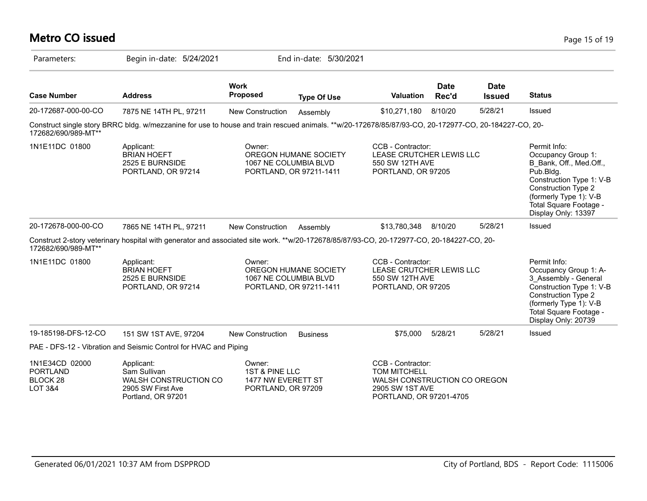#### **Metro CO issued** Page 15 of 19

| Parameters:                                                                | Begin in-date: 5/24/2021                                                                                                                             |                                                                      | End in-date: 5/30/2021                           |                                                                                                                        |                      |                              |                                                                                                                                                                                                                 |
|----------------------------------------------------------------------------|------------------------------------------------------------------------------------------------------------------------------------------------------|----------------------------------------------------------------------|--------------------------------------------------|------------------------------------------------------------------------------------------------------------------------|----------------------|------------------------------|-----------------------------------------------------------------------------------------------------------------------------------------------------------------------------------------------------------------|
| <b>Case Number</b>                                                         | <b>Address</b>                                                                                                                                       | <b>Work</b><br><b>Proposed</b>                                       | <b>Type Of Use</b>                               | Valuation                                                                                                              | <b>Date</b><br>Rec'd | <b>Date</b><br><b>Issued</b> | <b>Status</b>                                                                                                                                                                                                   |
| 20-172687-000-00-CO                                                        | 7875 NE 14TH PL, 97211                                                                                                                               | New Construction                                                     | Assembly                                         | \$10,271,180                                                                                                           | 8/10/20              | 5/28/21                      | Issued                                                                                                                                                                                                          |
| 172682/690/989-MT**                                                        | Construct single story BRRC bldg. w/mezzanine for use to house and train rescued animals. **w/20-172678/85/87/93-CO, 20-172977-CO, 20-184227-CO, 20- |                                                                      |                                                  |                                                                                                                        |                      |                              |                                                                                                                                                                                                                 |
| 1N1E11DC 01800                                                             | Applicant:<br><b>BRIAN HOEFT</b><br>2525 E BURNSIDE<br>PORTLAND, OR 97214                                                                            | Owner:<br>1067 NE COLUMBIA BLVD                                      | OREGON HUMANE SOCIETY<br>PORTLAND, OR 97211-1411 | CCB - Contractor:<br>LEASE CRUTCHER LEWIS LLC<br>550 SW 12TH AVE<br>PORTLAND, OR 97205                                 |                      |                              | Permit Info:<br>Occupancy Group 1:<br>B Bank, Off., Med.Off.,<br>Pub.Bldg.<br>Construction Type 1: V-B<br><b>Construction Type 2</b><br>(formerly Type 1): V-B<br>Total Square Footage -<br>Display Only: 13397 |
| 20-172678-000-00-CO                                                        | 7865 NE 14TH PL, 97211                                                                                                                               | <b>New Construction</b>                                              | Assembly                                         | \$13,780,348                                                                                                           | 8/10/20              | 5/28/21                      | Issued                                                                                                                                                                                                          |
| 172682/690/989-MT**                                                        | Construct 2-story veterinary hospital with generator and associated site work. **w/20-172678/85/87/93-CO, 20-172977-CO, 20-184227-CO, 20-            |                                                                      |                                                  |                                                                                                                        |                      |                              |                                                                                                                                                                                                                 |
| 1N1E11DC 01800                                                             | Applicant:<br><b>BRIAN HOEFT</b><br>2525 E BURNSIDE<br>PORTLAND, OR 97214                                                                            | Owner:<br>1067 NE COLUMBIA BLVD                                      | OREGON HUMANE SOCIETY<br>PORTLAND, OR 97211-1411 | CCB - Contractor:<br>LEASE CRUTCHER LEWIS LLC<br>550 SW 12TH AVE<br>PORTLAND, OR 97205                                 |                      |                              | Permit Info:<br>Occupancy Group 1: A-<br>3_Assembly - General<br>Construction Type 1: V-B<br><b>Construction Type 2</b><br>(formerly Type 1): V-B<br>Total Square Footage -<br>Display Only: 20739              |
| 19-185198-DFS-12-CO                                                        | 151 SW 1ST AVE, 97204                                                                                                                                | <b>New Construction</b>                                              | <b>Business</b>                                  | \$75,000                                                                                                               | 5/28/21              | 5/28/21                      | Issued                                                                                                                                                                                                          |
|                                                                            | PAE - DFS-12 - Vibration and Seismic Control for HVAC and Piping                                                                                     |                                                                      |                                                  |                                                                                                                        |                      |                              |                                                                                                                                                                                                                 |
| 1N1E34CD 02000<br><b>PORTLAND</b><br><b>BLOCK 28</b><br><b>LOT 3&amp;4</b> | Applicant:<br>Sam Sullivan<br><b>WALSH CONSTRUCTION CO</b><br>2905 SW First Ave<br>Portland, OR 97201                                                | Owner:<br>1ST & PINE LLC<br>1477 NW EVERETT ST<br>PORTLAND, OR 97209 |                                                  | CCB - Contractor:<br><b>TOM MITCHELL</b><br>WALSH CONSTRUCTION CO OREGON<br>2905 SW 1ST AVE<br>PORTLAND, OR 97201-4705 |                      |                              |                                                                                                                                                                                                                 |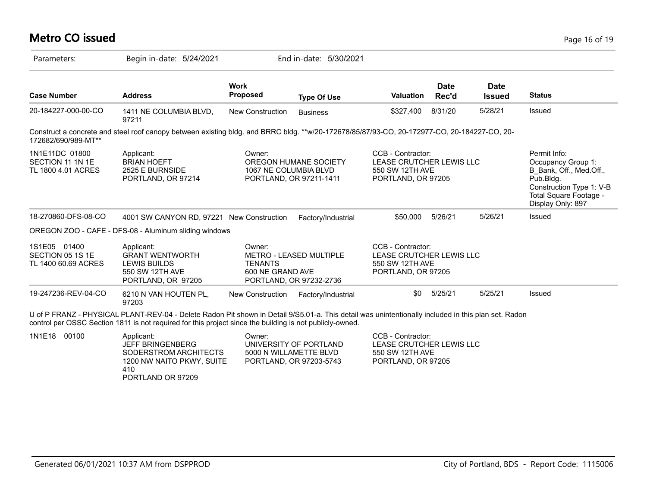## **Metro CO issued** Page 16 of 19

| Parameters:                                              | Begin in-date: 5/24/2021                                                                                                                                                                                                                                        |                                              | End in-date: 5/30/2021                                                      |                                                                                        |                      |                              |                                                                                                                                                       |
|----------------------------------------------------------|-----------------------------------------------------------------------------------------------------------------------------------------------------------------------------------------------------------------------------------------------------------------|----------------------------------------------|-----------------------------------------------------------------------------|----------------------------------------------------------------------------------------|----------------------|------------------------------|-------------------------------------------------------------------------------------------------------------------------------------------------------|
| <b>Case Number</b>                                       | <b>Address</b>                                                                                                                                                                                                                                                  | <b>Work</b><br><b>Proposed</b>               | <b>Type Of Use</b>                                                          | Valuation                                                                              | <b>Date</b><br>Rec'd | <b>Date</b><br><b>Issued</b> | <b>Status</b>                                                                                                                                         |
| 20-184227-000-00-CO                                      | 1411 NE COLUMBIA BLVD,<br>97211                                                                                                                                                                                                                                 | New Construction                             | <b>Business</b>                                                             | \$327,400                                                                              | 8/31/20              | 5/28/21                      | Issued                                                                                                                                                |
| 172682/690/989-MT**                                      | Construct a concrete and steel roof canopy between existing bldg. and BRRC bldg. **w/20-172678/85/87/93-CO, 20-172977-CO, 20-184227-CO, 20-                                                                                                                     |                                              |                                                                             |                                                                                        |                      |                              |                                                                                                                                                       |
| 1N1E11DC 01800<br>SECTION 11 1N 1E<br>TL 1800 4.01 ACRES | Applicant:<br><b>BRIAN HOEFT</b><br>2525 E BURNSIDE<br>PORTLAND, OR 97214                                                                                                                                                                                       | Owner:<br>1067 NE COLUMBIA BLVD              | OREGON HUMANE SOCIETY<br>PORTLAND, OR 97211-1411                            | CCB - Contractor:<br>LEASE CRUTCHER LEWIS LLC<br>550 SW 12TH AVE<br>PORTLAND, OR 97205 |                      |                              | Permit Info:<br>Occupancy Group 1:<br>B Bank, Off., Med.Off.,<br>Pub.Bldg.<br>Construction Type 1: V-B<br>Total Square Footage -<br>Display Only: 897 |
| 18-270860-DFS-08-CO                                      | 4001 SW CANYON RD, 97221 New Construction                                                                                                                                                                                                                       |                                              | Factory/Industrial                                                          | \$50,000                                                                               | 5/26/21              | 5/26/21                      | Issued                                                                                                                                                |
|                                                          | OREGON ZOO - CAFE - DFS-08 - Aluminum sliding windows                                                                                                                                                                                                           |                                              |                                                                             |                                                                                        |                      |                              |                                                                                                                                                       |
| 1S1E05 01400<br>SECTION 05 1S 1E<br>TL 1400 60.69 ACRES  | Applicant:<br><b>GRANT WENTWORTH</b><br>LEWIS BUILDS<br>550 SW 12TH AVE<br>PORTLAND, OR 97205                                                                                                                                                                   | Owner:<br><b>TENANTS</b><br>600 NE GRAND AVE | <b>METRO - LEASED MULTIPLE</b><br>PORTLAND, OR 97232-2736                   | CCB - Contractor:<br>LEASE CRUTCHER LEWIS LLC<br>550 SW 12TH AVE<br>PORTLAND, OR 97205 |                      |                              |                                                                                                                                                       |
| 19-247236-REV-04-CO                                      | 6210 N VAN HOUTEN PL,<br>97203                                                                                                                                                                                                                                  | New Construction                             | Factory/Industrial                                                          | \$0                                                                                    | 5/25/21              | 5/25/21                      | Issued                                                                                                                                                |
|                                                          | U of P FRANZ - PHYSICAL PLANT-REV-04 - Delete Radon Pit shown in Detail 9/S5.01-a. This detail was unintentionally included in this plan set. Radon<br>control per OSSC Section 1811 is not required for this project since the building is not publicly-owned. |                                              |                                                                             |                                                                                        |                      |                              |                                                                                                                                                       |
| 1N1E18 00100                                             | Applicant:<br><b>JEFF BRINGENBERG</b><br>SODERSTROM ARCHITECTS<br>1200 NW NAITO PKWY, SUITE<br>410                                                                                                                                                              | Owner:                                       | UNIVERSITY OF PORTLAND<br>5000 N WILLAMETTE BLVD<br>PORTLAND, OR 97203-5743 | CCB - Contractor:<br>LEASE CRUTCHER LEWIS LLC<br>550 SW 12TH AVE<br>PORTLAND, OR 97205 |                      |                              |                                                                                                                                                       |

PORTLAND OR 97209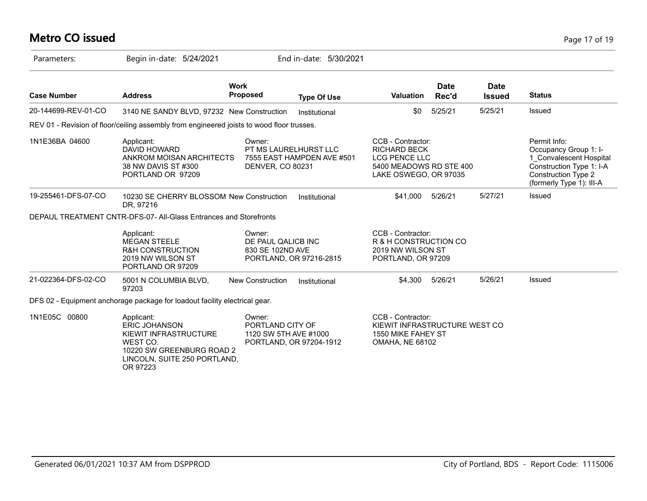# **Metro CO issued** Page 17 of 19

| Parameters:         | Begin in-date: 5/24/2021                                                                                                                         |                                                     | End in-date: 5/30/2021                              |                                                                                                                      |                      |                       |                                                                                                                                                        |
|---------------------|--------------------------------------------------------------------------------------------------------------------------------------------------|-----------------------------------------------------|-----------------------------------------------------|----------------------------------------------------------------------------------------------------------------------|----------------------|-----------------------|--------------------------------------------------------------------------------------------------------------------------------------------------------|
| <b>Case Number</b>  | <b>Address</b>                                                                                                                                   | <b>Work</b><br><b>Proposed</b>                      | <b>Type Of Use</b>                                  | <b>Valuation</b>                                                                                                     | <b>Date</b><br>Rec'd | Date<br><b>Issued</b> | <b>Status</b>                                                                                                                                          |
| 20-144699-REV-01-CO | 3140 NE SANDY BLVD, 97232 New Construction                                                                                                       |                                                     | Institutional                                       | \$0                                                                                                                  | 5/25/21              | 5/25/21               | <b>Issued</b>                                                                                                                                          |
|                     | REV 01 - Revision of floor/ceiling assembly from engineered joists to wood floor trusses.                                                        |                                                     |                                                     |                                                                                                                      |                      |                       |                                                                                                                                                        |
| 1N1E36BA 04600      | Applicant:<br>DAVID HOWARD<br>ANKROM MOISAN ARCHITECTS<br>38 NW DAVIS ST #300<br>PORTLAND OR 97209                                               | Owner:<br>DENVER, CO 80231                          | PT MS LAURELHURST LLC<br>7555 EAST HAMPDEN AVE #501 | CCB - Contractor:<br><b>RICHARD BECK</b><br><b>LCG PENCE LLC</b><br>5400 MEADOWS RD STE 400<br>LAKE OSWEGO, OR 97035 |                      |                       | Permit Info:<br>Occupancy Group 1: I-<br>1 Convalescent Hospital<br>Construction Type 1: I-A<br><b>Construction Type 2</b><br>(formerly Type 1): III-A |
| 19-255461-DFS-07-CO | 10230 SE CHERRY BLOSSOM New Construction<br>DR, 97216                                                                                            |                                                     | Institutional                                       | \$41,000                                                                                                             | 5/26/21              | 5/27/21               | <b>Issued</b>                                                                                                                                          |
|                     | DEPAUL TREATMENT CNTR-DFS-07- All-Glass Entrances and Storefronts                                                                                |                                                     |                                                     |                                                                                                                      |                      |                       |                                                                                                                                                        |
|                     | Applicant:<br><b>MEGAN STEELE</b><br><b>R&amp;H CONSTRUCTION</b><br>2019 NW WILSON ST<br>PORTLAND OR 97209                                       | Owner:<br>DE PAUL QALICB INC<br>830 SE 102ND AVE    | PORTLAND, OR 97216-2815                             | CCB - Contractor:<br>R & H CONSTRUCTION CO<br>2019 NW WILSON ST<br>PORTLAND, OR 97209                                |                      |                       |                                                                                                                                                        |
| 21-022364-DFS-02-CO | 5001 N COLUMBIA BLVD,<br>97203                                                                                                                   | <b>New Construction</b>                             | Institutional                                       | \$4,300                                                                                                              | 5/26/21              | 5/26/21               | Issued                                                                                                                                                 |
|                     | DFS 02 - Equipment anchorage package for loadout facility electrical gear.                                                                       |                                                     |                                                     |                                                                                                                      |                      |                       |                                                                                                                                                        |
| 1N1E05C 00800       | Applicant:<br><b>ERIC JOHANSON</b><br>KIEWIT INFRASTRUCTURE<br>WEST CO.<br>10220 SW GREENBURG ROAD 2<br>LINCOLN, SUITE 250 PORTLAND,<br>OR 97223 | Owner:<br>PORTLAND CITY OF<br>1120 SW 5TH AVE #1000 | PORTLAND, OR 97204-1912                             | CCB - Contractor:<br>KIEWIT INFRASTRUCTURE WEST CO<br>1550 MIKE FAHEY ST<br><b>OMAHA, NE 68102</b>                   |                      |                       |                                                                                                                                                        |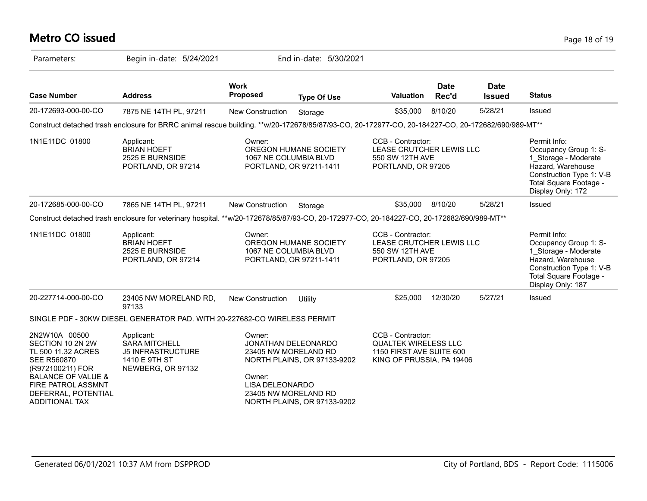# **Metro CO issued** Page 18 of 19

| Parameters:                                                                                                                                                                                       | Begin in-date: 5/24/2021                                                                                                                          |                                                                                                                   | End in-date: 5/30/2021                                     |                                                                                                           |                      |                              |                                                                                                                                                               |
|---------------------------------------------------------------------------------------------------------------------------------------------------------------------------------------------------|---------------------------------------------------------------------------------------------------------------------------------------------------|-------------------------------------------------------------------------------------------------------------------|------------------------------------------------------------|-----------------------------------------------------------------------------------------------------------|----------------------|------------------------------|---------------------------------------------------------------------------------------------------------------------------------------------------------------|
| <b>Case Number</b>                                                                                                                                                                                | <b>Address</b>                                                                                                                                    | <b>Work</b><br><b>Proposed</b>                                                                                    | <b>Type Of Use</b>                                         | <b>Valuation</b>                                                                                          | <b>Date</b><br>Rec'd | <b>Date</b><br><b>Issued</b> | <b>Status</b>                                                                                                                                                 |
| 20-172693-000-00-CO                                                                                                                                                                               | 7875 NE 14TH PL, 97211                                                                                                                            | New Construction                                                                                                  | Storage                                                    | \$35,000                                                                                                  | 8/10/20              | 5/28/21                      | Issued                                                                                                                                                        |
|                                                                                                                                                                                                   | Construct detached trash enclosure for BRRC animal rescue building. **w/20-172678/85/87/93-CO, 20-172977-CO, 20-184227-CO, 20-172682/690/989-MT** |                                                                                                                   |                                                            |                                                                                                           |                      |                              |                                                                                                                                                               |
| 1N1E11DC 01800                                                                                                                                                                                    | Applicant:<br><b>BRIAN HOEFT</b><br>2525 E BURNSIDE<br>PORTLAND, OR 97214                                                                         | Owner:<br>1067 NE COLUMBIA BLVD                                                                                   | OREGON HUMANE SOCIETY<br>PORTLAND, OR 97211-1411           | CCB - Contractor:<br>LEASE CRUTCHER LEWIS LLC<br>550 SW 12TH AVE<br>PORTLAND, OR 97205                    |                      |                              | Permit Info:<br>Occupancy Group 1: S-<br>1_Storage - Moderate<br>Hazard, Warehouse<br>Construction Type 1: V-B<br>Total Square Footage -<br>Display Only: 172 |
| 20-172685-000-00-CO                                                                                                                                                                               | 7865 NE 14TH PL, 97211                                                                                                                            | New Construction                                                                                                  | Storage                                                    | \$35,000                                                                                                  | 8/10/20              | 5/28/21                      | Issued                                                                                                                                                        |
|                                                                                                                                                                                                   | Construct detached trash enclosure for veterinary hospital. **w/20-172678/85/87/93-CO, 20-172977-CO, 20-184227-CO, 20-172682/690/989-MT**         |                                                                                                                   |                                                            |                                                                                                           |                      |                              |                                                                                                                                                               |
| 1N1E11DC 01800                                                                                                                                                                                    | Applicant:<br><b>BRIAN HOEFT</b><br>2525 E BURNSIDE<br>PORTLAND, OR 97214                                                                         | Owner:<br>1067 NE COLUMBIA BLVD                                                                                   | OREGON HUMANE SOCIETY<br>PORTLAND, OR 97211-1411           | CCB - Contractor:<br>LEASE CRUTCHER LEWIS LLC<br>550 SW 12TH AVE<br>PORTLAND, OR 97205                    |                      |                              | Permit Info:<br>Occupancy Group 1: S-<br>1 Storage - Moderate<br>Hazard, Warehouse<br>Construction Type 1: V-B<br>Total Square Footage -<br>Display Only: 187 |
| 20-227714-000-00-CO                                                                                                                                                                               | 23405 NW MORELAND RD,<br>97133                                                                                                                    | New Construction                                                                                                  | Utility                                                    | \$25,000                                                                                                  | 12/30/20             | 5/27/21                      | Issued                                                                                                                                                        |
|                                                                                                                                                                                                   | SINGLE PDF - 30KW DIESEL GENERATOR PAD. WITH 20-227682-CO WIRELESS PERMIT                                                                         |                                                                                                                   |                                                            |                                                                                                           |                      |                              |                                                                                                                                                               |
| 2N2W10A 00500<br>SECTION 10 2N 2W<br>TL 500 11.32 ACRES<br><b>SEE R560870</b><br>(R972100211) FOR<br><b>BALANCE OF VALUE &amp;</b><br>FIRE PATROL ASSMNT<br>DEFERRAL, POTENTIAL<br>ADDITIONAL TAX | Applicant:<br><b>SARA MITCHELL</b><br><b>J5 INFRASTRUCTURE</b><br>1410 E 9TH ST<br>NEWBERG, OR 97132                                              | Owner:<br><b>JONATHAN DELEONARDO</b><br>23405 NW MORELAND RD<br>Owner:<br>LISA DELEONARDO<br>23405 NW MORELAND RD | NORTH PLAINS, OR 97133-9202<br>NORTH PLAINS, OR 97133-9202 | CCB - Contractor:<br><b>QUALTEK WIRELESS LLC</b><br>1150 FIRST AVE SUITE 600<br>KING OF PRUSSIA, PA 19406 |                      |                              |                                                                                                                                                               |